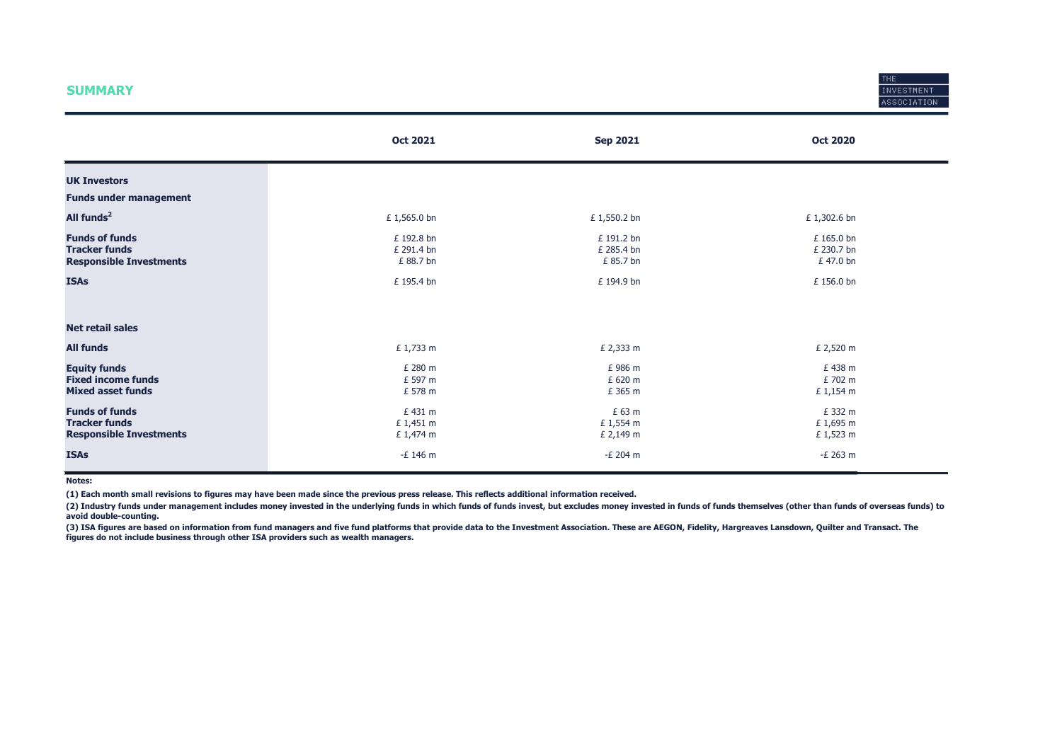### **SUMMARY**



|                                                                                 | <b>Oct 2021</b>                       | <b>Sep 2021</b>                       | <b>Oct 2020</b>                     |
|---------------------------------------------------------------------------------|---------------------------------------|---------------------------------------|-------------------------------------|
| <b>UK Investors</b>                                                             |                                       |                                       |                                     |
| <b>Funds under management</b>                                                   |                                       |                                       |                                     |
| All funds <sup>2</sup>                                                          | £1,565.0 bn                           | £1,550.2 bn                           | £ 1,302.6 bn                        |
| <b>Funds of funds</b><br><b>Tracker funds</b><br><b>Responsible Investments</b> | £ 192.8 bn<br>£ 291.4 bn<br>£ 88.7 bn | £ 191.2 bn<br>£ 285.4 bn<br>£ 85.7 bn | £165.0 bn<br>£ 230.7 bn<br>£47.0 bn |
| <b>ISAs</b>                                                                     | £ 195.4 bn                            | £ 194.9 bn                            | £ 156.0 bn                          |
| <b>Net retail sales</b>                                                         |                                       |                                       |                                     |
| <b>All funds</b>                                                                | £ 1,733 m                             | £ 2,333 m                             | £ 2,520 m                           |
| <b>Equity funds</b><br><b>Fixed income funds</b><br><b>Mixed asset funds</b>    | £ 280 m<br>£ 597 m<br>£ 578 m         | £986 m<br>£ 620 m<br>£ 365 m          | £438 m<br>£702 m<br>£ 1,154 m       |
| <b>Funds of funds</b><br><b>Tracker funds</b><br><b>Responsible Investments</b> | £431 m<br>£ 1,451 m<br>£ 1,474 m      | £ 63 m<br>£ 1,554 m<br>£ 2,149 m      | £ 332 m<br>£1,695 m<br>£ 1,523 m    |
| <b>ISAs</b>                                                                     | -£ 146 m                              | -£ 204 m                              | -£ 263 m                            |

Notes:

(1) Each month small revisions to figures may have been made since the previous press release. This reflects additional information received.

(2) Industry funds under management includes money invested in the underlying funds in which funds of funds invest, but excludes money invested in funds of funds themselves (other than funds of overseas funds) to avoid double-counting.

(3) ISA figures are based on information from fund managers and five fund platforms that provide data to the Investment Association. These are AEGON, Fidelity, Hargreaves Lansdown, Quilter and Transact. The figures do not include business through other ISA providers such as wealth managers.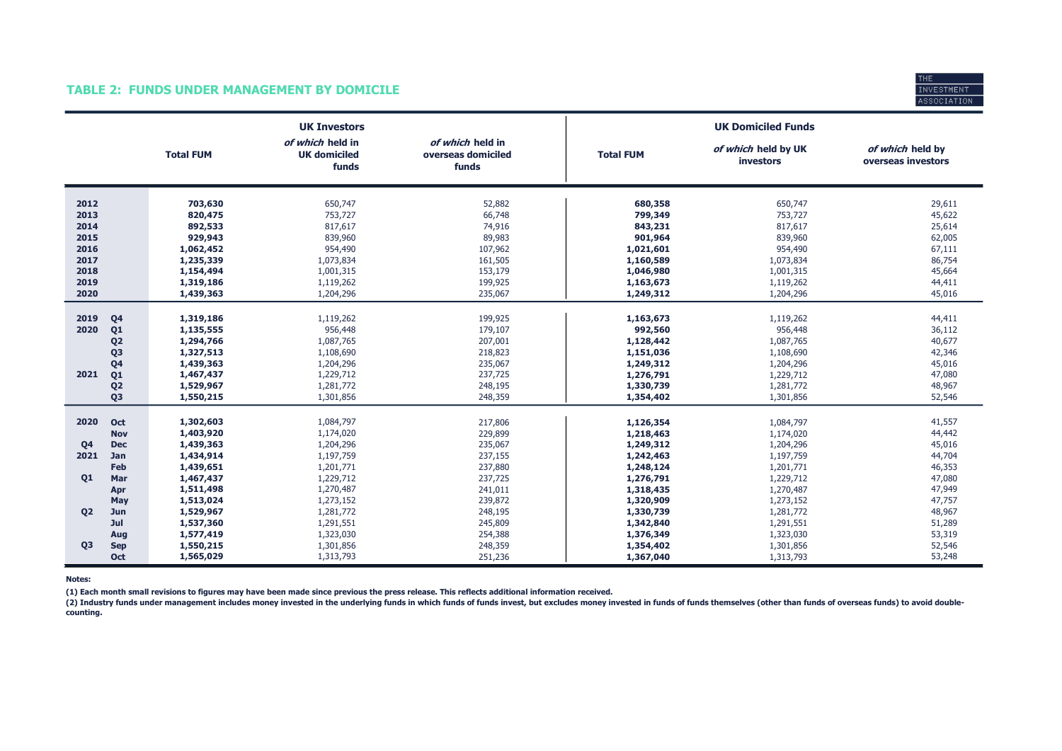### TABLE 2: FUNDS UNDER MANAGEMENT BY DOMICILE



|                                                                      |                                                                                                                      |                                                                                                                                | <b>UK Investors</b>                                                                                                            |                                                                                                            |                                                                                                                                | <b>UK Domiciled Funds</b>                                                                                                      |                                                                                                  |
|----------------------------------------------------------------------|----------------------------------------------------------------------------------------------------------------------|--------------------------------------------------------------------------------------------------------------------------------|--------------------------------------------------------------------------------------------------------------------------------|------------------------------------------------------------------------------------------------------------|--------------------------------------------------------------------------------------------------------------------------------|--------------------------------------------------------------------------------------------------------------------------------|--------------------------------------------------------------------------------------------------|
|                                                                      |                                                                                                                      | <b>Total FUM</b>                                                                                                               | of which held in<br><b>UK domiciled</b><br>funds                                                                               | of which held in<br>overseas domiciled<br>funds                                                            | <b>Total FUM</b>                                                                                                               | of which held by UK<br>investors                                                                                               | of which held by<br>overseas investors                                                           |
| 2012<br>2013<br>2014<br>2015<br>2016<br>2017<br>2018<br>2019<br>2020 |                                                                                                                      | 703,630<br>820,475<br>892,533<br>929,943<br>1,062,452<br>1,235,339<br>1,154,494<br>1,319,186<br>1,439,363                      | 650,747<br>753,727<br>817,617<br>839,960<br>954,490<br>1,073,834<br>1,001,315<br>1,119,262<br>1,204,296                        | 52,882<br>66,748<br>74,916<br>89,983<br>107,962<br>161,505<br>153,179<br>199,925<br>235,067                | 680,358<br>799,349<br>843,231<br>901,964<br>1,021,601<br>1,160,589<br>1,046,980<br>1,163,673<br>1,249,312                      | 650,747<br>753,727<br>817,617<br>839,960<br>954,490<br>1,073,834<br>1,001,315<br>1,119,262<br>1,204,296                        | 29,611<br>45,622<br>25,614<br>62,005<br>67,111<br>86,754<br>45,664<br>44,411<br>45,016           |
| 2019<br>2020<br>2021                                                 | Q <sub>4</sub><br>Q1<br>Q <sub>2</sub><br>Q <sub>3</sub><br>Q <sub>4</sub><br>Q1<br>Q <sub>2</sub><br>Q <sub>3</sub> | 1,319,186<br>1,135,555<br>1,294,766<br>1,327,513<br>1,439,363<br>1,467,437<br>1,529,967<br>1,550,215                           | 1,119,262<br>956,448<br>1,087,765<br>1,108,690<br>1,204,296<br>1,229,712<br>1,281,772<br>1,301,856                             | 199,925<br>179,107<br>207,001<br>218,823<br>235,067<br>237,725<br>248,195<br>248,359                       | 1,163,673<br>992,560<br>1,128,442<br>1,151,036<br>1,249,312<br>1,276,791<br>1,330,739<br>1,354,402                             | 1,119,262<br>956,448<br>1,087,765<br>1,108,690<br>1,204,296<br>1,229,712<br>1,281,772<br>1,301,856                             | 44,411<br>36,112<br>40,677<br>42,346<br>45,016<br>47,080<br>48,967<br>52,546                     |
| 2020<br>Q <sub>4</sub><br>2021<br><b>Q1</b><br><b>Q2</b>             | Oct<br><b>Nov</b><br><b>Dec</b><br>Jan<br>Feb<br>Mar<br>Apr<br>May<br>Jun<br>Jul                                     | 1,302,603<br>1,403,920<br>1,439,363<br>1,434,914<br>1,439,651<br>1,467,437<br>1,511,498<br>1,513,024<br>1,529,967<br>1,537,360 | 1,084,797<br>1,174,020<br>1,204,296<br>1,197,759<br>1,201,771<br>1,229,712<br>1,270,487<br>1,273,152<br>1,281,772<br>1,291,551 | 217,806<br>229,899<br>235,067<br>237,155<br>237,880<br>237,725<br>241,011<br>239,872<br>248,195<br>245,809 | 1,126,354<br>1,218,463<br>1,249,312<br>1,242,463<br>1,248,124<br>1,276,791<br>1,318,435<br>1,320,909<br>1,330,739<br>1,342,840 | 1,084,797<br>1,174,020<br>1,204,296<br>1,197,759<br>1,201,771<br>1,229,712<br>1,270,487<br>1,273,152<br>1,281,772<br>1,291,551 | 41,557<br>44,442<br>45,016<br>44,704<br>46,353<br>47,080<br>47,949<br>47,757<br>48,967<br>51,289 |
| Q <sub>3</sub>                                                       | Aug<br><b>Sep</b><br>Oct                                                                                             | 1,577,419<br>1,550,215<br>1,565,029                                                                                            | 1,323,030<br>1,301,856<br>1,313,793                                                                                            | 254,388<br>248,359<br>251,236                                                                              | 1,376,349<br>1,354,402<br>1,367,040                                                                                            | 1,323,030<br>1,301,856<br>1,313,793                                                                                            | 53,319<br>52,546<br>53,248                                                                       |

Notes:

(1) Each month small revisions to figures may have been made since previous the press release. This reflects additional information received.

(2) Industry funds under management includes money invested in the underlying funds in which funds of funds invest, but excludes money invested in funds of funds themselves (other than funds of overseas funds) to avoid dou counting.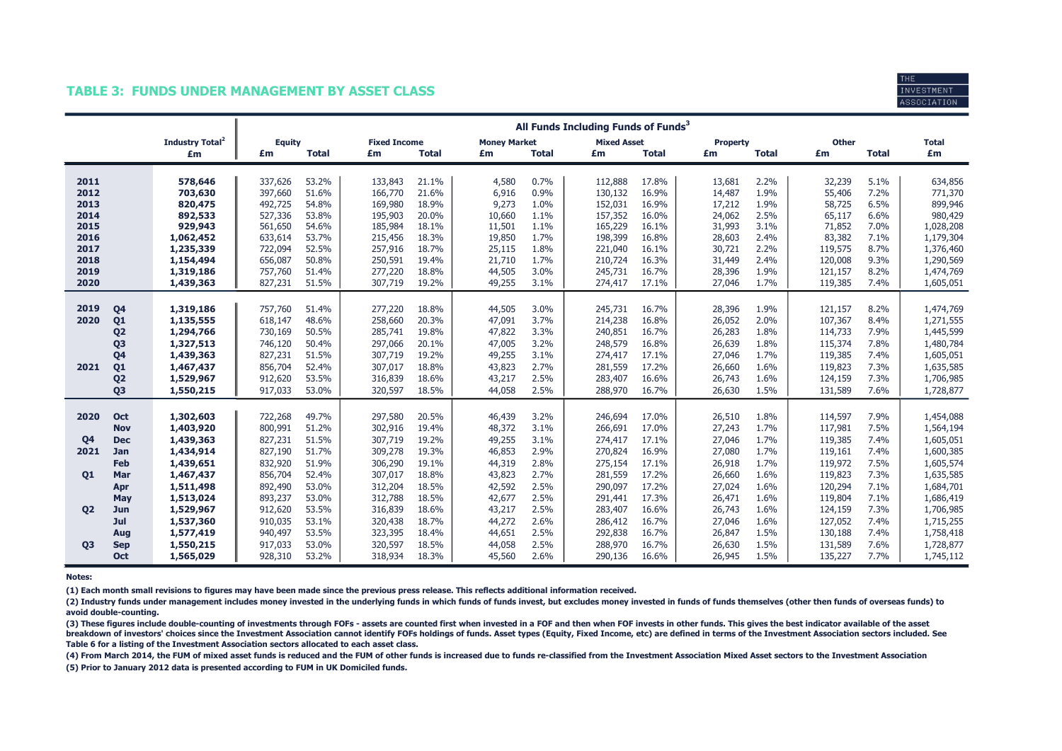### TABLE 3: FUNDS UNDER MANAGEMENT BY ASSET CLASS



|                |                |                                   | All Funds Including Funds of Funds <sup>3</sup> |                |                     |                |                     |              |                    |                |                  |              |                  |              |                    |
|----------------|----------------|-----------------------------------|-------------------------------------------------|----------------|---------------------|----------------|---------------------|--------------|--------------------|----------------|------------------|--------------|------------------|--------------|--------------------|
|                |                | <b>Industry Total<sup>2</sup></b> | <b>Equity</b>                                   |                | <b>Fixed Income</b> |                | <b>Money Market</b> |              | <b>Mixed Asset</b> |                | <b>Property</b>  |              | <b>Other</b>     |              | <b>Total</b>       |
|                |                | £m                                | £m                                              | <b>Total</b>   | £m                  | <b>Total</b>   | £m                  | <b>Total</b> | £m                 | <b>Total</b>   | £m               | <b>Total</b> | £m               | <b>Total</b> | £m                 |
|                |                |                                   |                                                 |                |                     |                |                     |              |                    |                |                  |              |                  |              |                    |
| 2011<br>2012   |                | 578,646<br>703,630                | 337,626<br>397,660                              | 53.2%<br>51.6% | 133,843<br>166,770  | 21.1%<br>21.6% | 4,580<br>6,916      | 0.7%<br>0.9% | 112,888<br>130,132 | 17.8%<br>16.9% | 13,681<br>14,487 | 2.2%<br>1.9% | 32,239<br>55,406 | 5.1%<br>7.2% | 634,856<br>771,370 |
| 2013           |                | 820,475                           | 492,725                                         | 54.8%          | 169,980             | 18.9%          | 9,273               | 1.0%         | 152,031            | 16.9%          | 17,212           | 1.9%         | 58,725           | 6.5%         | 899,946            |
| 2014           |                | 892,533                           | 527,336                                         | 53.8%          | 195,903             | 20.0%          | 10,660              | 1.1%         | 157,352            | 16.0%          | 24,062           | 2.5%         | 65,117           | 6.6%         | 980,429            |
| 2015           |                | 929,943                           | 561,650                                         | 54.6%          | 185,984             | 18.1%          | 11,501              | 1.1%         | 165,229            | 16.1%          | 31,993           | 3.1%         | 71,852           | 7.0%         | 1,028,208          |
| 2016           |                | 1,062,452                         | 633,614                                         | 53.7%          | 215,456             | 18.3%          | 19,850              | 1.7%         | 198,399            | 16.8%          | 28,603           | 2.4%         | 83,382           | 7.1%         | 1,179,304          |
| 2017           |                | 1,235,339                         | 722,094                                         | 52.5%          | 257,916             | 18.7%          | 25,115              | 1.8%         | 221,040            | 16.1%          | 30,721           | 2.2%         | 119,575          | 8.7%         | 1,376,460          |
| 2018           |                | 1,154,494                         | 656,087                                         | 50.8%          | 250,591             | 19.4%          | 21,710              | 1.7%         | 210,724            | 16.3%          | 31,449           | 2.4%         | 120,008          | 9.3%         | 1,290,569          |
| 2019           |                | 1,319,186                         | 757,760                                         | 51.4%          | 277,220             | 18.8%          | 44,505              | 3.0%         | 245,731            | 16.7%          | 28,396           | 1.9%         | 121,157          | 8.2%         | 1,474,769          |
| 2020           |                | 1,439,363                         | 827,231                                         | 51.5%          | 307,719             | 19.2%          | 49,255              | 3.1%         | 274,417            | 17.1%          | 27,046           | 1.7%         | 119,385          | 7.4%         | 1,605,051          |
|                |                |                                   |                                                 |                |                     |                |                     |              |                    |                |                  |              |                  |              |                    |
| 2019           | Q <sub>4</sub> | 1,319,186                         | 757,760                                         | 51.4%          | 277,220             | 18.8%          | 44,505              | 3.0%         | 245,731            | 16.7%          | 28,396           | 1.9%         | 121,157          | 8.2%         | 1,474,769          |
| 2020           | Q <sub>1</sub> | 1,135,555                         | 618,147                                         | 48.6%          | 258,660             | 20.3%          | 47,091              | 3.7%         | 214,238            | 16.8%          | 26,052           | 2.0%         | 107,367          | 8.4%         | 1,271,555          |
|                | Q <sub>2</sub> | 1,294,766                         | 730,169                                         | 50.5%          | 285,741             | 19.8%          | 47,822              | 3.3%         | 240,851            | 16.7%          | 26,283           | 1.8%         | 114,733          | 7.9%         | 1,445,599          |
|                | Q <sub>3</sub> | 1,327,513                         | 746,120                                         | 50.4%          | 297,066             | 20.1%          | 47,005              | 3.2%         | 248,579            | 16.8%          | 26,639           | 1.8%         | 115,374          | 7.8%         | 1,480,784          |
|                | Q4             | 1,439,363                         | 827,231                                         | 51.5%          | 307,719             | 19.2%          | 49,255              | 3.1%         | 274,417            | 17.1%          | 27,046           | 1.7%         | 119,385          | 7.4%         | 1,605,051          |
| 2021           | Q <sub>1</sub> | 1,467,437                         | 856,704                                         | 52.4%          | 307,017             | 18.8%          | 43,823              | 2.7%         | 281,559            | 17.2%          | 26,660           | 1.6%         | 119,823          | 7.3%         | 1,635,585          |
|                | Q <sub>2</sub> | 1,529,967                         | 912,620                                         | 53.5%          | 316,839             | 18.6%          | 43,217              | 2.5%         | 283,407            | 16.6%          | 26,743           | 1.6%         | 124,159          | 7.3%         | 1,706,985          |
|                | Q <sub>3</sub> | 1,550,215                         | 917,033                                         | 53.0%          | 320,597             | 18.5%          | 44,058              | 2.5%         | 288,970            | 16.7%          | 26,630           | 1.5%         | 131,589          | 7.6%         | 1,728,877          |
|                |                |                                   |                                                 |                |                     |                |                     |              |                    |                |                  |              |                  |              |                    |
| 2020           | <b>Oct</b>     | 1,302,603                         | 722,268                                         | 49.7%          | 297,580             | 20.5%          | 46,439              | 3.2%         | 246,694            | 17.0%          | 26,510           | 1.8%         | 114,597          | 7.9%         | 1,454,088          |
|                | <b>Nov</b>     | 1,403,920                         | 800,991                                         | 51.2%          | 302,916             | 19.4%          | 48,372              | 3.1%         | 266,691            | 17.0%          | 27,243           | 1.7%         | 117,981          | 7.5%         | 1,564,194          |
| Q <sub>4</sub> | <b>Dec</b>     | 1,439,363                         | 827,231                                         | 51.5%          | 307,719             | 19.2%          | 49,255              | 3.1%         | 274,417            | 17.1%          | 27,046           | 1.7%         | 119,385          | 7.4%         | 1,605,051          |
| 2021           | Jan            | 1,434,914                         | 827,190                                         | 51.7%          | 309,278             | 19.3%          | 46,853              | 2.9%         | 270,824            | 16.9%          | 27,080           | 1.7%         | 119,161          | 7.4%         | 1,600,385          |
|                | Feb            | 1,439,651                         | 832,920                                         | 51.9%          | 306,290             | 19.1%          | 44,319              | 2.8%         | 275,154            | 17.1%          | 26,918           | 1.7%         | 119,972          | 7.5%         | 1,605,574          |
| <b>Q1</b>      | Mar            | 1,467,437                         | 856,704                                         | 52.4%          | 307,017             | 18.8%          | 43,823              | 2.7%         | 281,559            | 17.2%          | 26,660           | 1.6%         | 119,823          | 7.3%         | 1,635,585          |
|                | Apr            | 1,511,498                         | 892,490                                         | 53.0%          | 312,204             | 18.5%          | 42,592              | 2.5%         | 290,097            | 17.2%          | 27,024           | 1.6%         | 120,294          | 7.1%         | 1,684,701          |
|                | May            | 1,513,024                         | 893,237                                         | 53.0%          | 312,788             | 18.5%          | 42,677              | 2.5%         | 291,441            | 17.3%          | 26,471           | 1.6%         | 119,804          | 7.1%         | 1,686,419          |
| <b>Q2</b>      | Jun            | 1,529,967                         | 912,620                                         | 53.5%          | 316,839             | 18.6%          | 43,217              | 2.5%         | 283,407            | 16.6%          | 26,743           | 1.6%         | 124,159          | 7.3%         | 1,706,985          |
|                | Jul            | 1,537,360                         | 910,035                                         | 53.1%          | 320,438             | 18.7%          | 44,272              | 2.6%         | 286,412            | 16.7%          | 27,046           | 1.6%         | 127,052          | 7.4%         | 1,715,255          |
|                | Aug            | 1,577,419                         | 940,497                                         | 53.5%          | 323,395             | 18.4%          | 44,651              | 2.5%         | 292,838            | 16.7%          | 26,847           | 1.5%         | 130,188          | 7.4%         | 1,758,418          |
| <b>Q3</b>      | <b>Sep</b>     | 1,550,215                         | 917,033                                         | 53.0%          | 320,597             | 18.5%          | 44,058              | 2.5%         | 288,970            | 16.7%          | 26,630           | 1.5%         | 131,589          | 7.6%         | 1,728,877          |
|                | Oct            | 1,565,029                         | 928,310                                         | 53.2%          | 318,934             | 18.3%          | 45,560              | 2.6%         | 290,136            | 16.6%          | 26,945           | 1.5%         | 135,227          | 7.7%         | 1,745,112          |

#### Notes:

(1) Each month small revisions to figures may have been made since the previous press release. This reflects additional information received.

(2) Industry funds under management includes money invested in the underlying funds in which funds of funds invest, but excludes money invested in funds of funds themselves (other then funds of overseas funds) to avoid double-counting.

(3) These figures include double-counting of investments through FOFs - assets are counted first when invested in a FOF and then when FOF invests in other funds. This gives the best indicator available of the asset breakdown of investors' choices since the Investment Association cannot identify FOFs holdings of funds. Asset types (Equity, Fixed Income, etc) are defined in terms of the Investment Association sectors included. See Table 6 for a listing of the Investment Association sectors allocated to each asset class.

(5) Prior to January 2012 data is presented according to FUM in UK Domiciled funds. (4) From March 2014, the FUM of mixed asset funds is reduced and the FUM of other funds is increased due to funds re-classified from the Investment Association Mixed Asset sectors to the Investment Association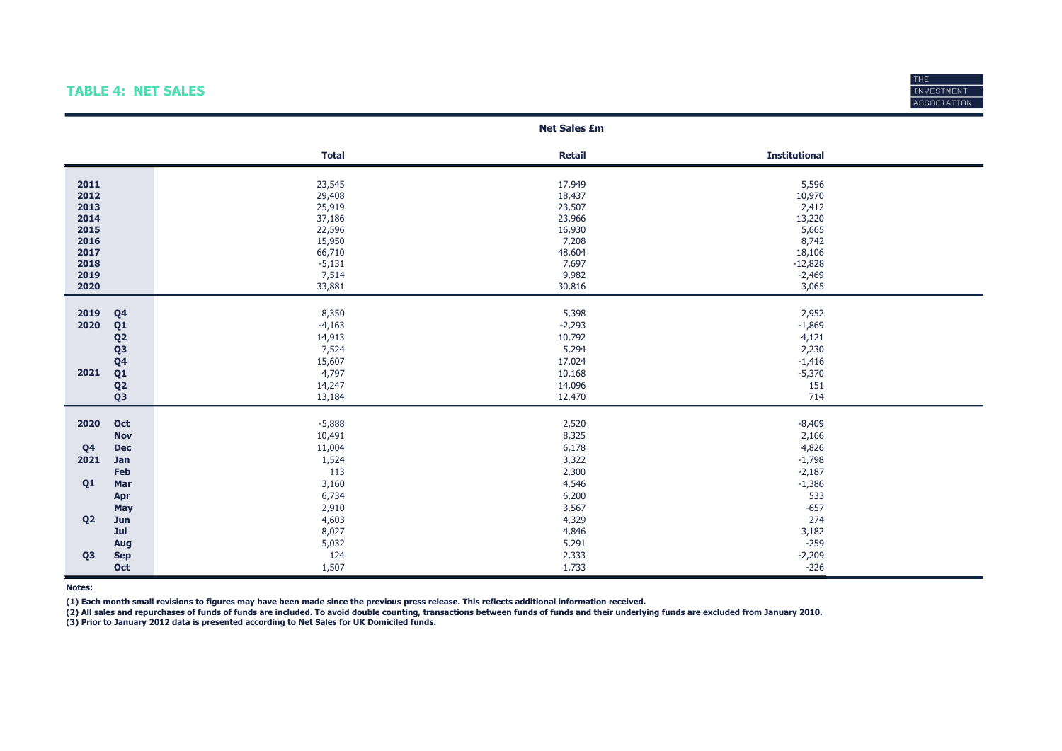### TABLE 4: NET SALES



### Total Retail Retail Retail Communicational Retail Retail Retail Retail Retail Retail Retail Retail Retail Retai **2011** 2012 2012 2013 2014 23,545 23,545 2012 2014 2012 2014 2013 2014 2014 2015 2014 2014 2015 2016 2017 2018 201 2012 29,408 18,437 10,970 **2013** 2013 2014 25,919 23,507 23,507 23,507 23,507 23,507 23,507 2013 2014 37,186 23,966 13,220 2015 22,596 16,930 5,665 **2016** 15,950 8,742 8,742 8,742 8,742 8,742 8,742 8,742 8,742 8,742 8,742 8,742 8,742 8,742 8,742 8,742 8,742 8,742 **2017** 66,710 66,710 66,710 48,604 48,604 56,710 66,710 66,710 66,710 66,710 66,710 66,710 66,710 66,710 66,710 66,710 66,710 66,710 66,710 66,710 66,710 66,710 66,710 66,8106 66,710 66,710 66,8106 66,710 66,810 66,810 66 **2018** -5,131 - 5,131 - 5,131 - 7,697 - 7,697 - 7,1328 2019 7,514 9,982 -2,469 **2020** 33,085 33,881 30,816 30,816 30,816 30,816 30,820 30,820 30,820 30,831 30,831 30,831 30,831 30,831 30,831 30,831 30,831 30,831 30,831 30,831 30,831 30,831 30,831 30,831 30,831 30,831 30,831 30,831 30,831 30,831 30,8 **2019 Q4** 2,952 3,350 8,350 5,398 5,398 5,398 5,398 5,398 5,398 5,398 5,398 5,398 5,398 5,398 5,398 5,398 5,398 5,59 **2020 Q1** -4,163 -4,163 -2,293 -2,293 -1,869 **Q2** 14,913 14,913 10,792 14,121 **Q3 2.230 2.230 2.230 2.230 Q4** 15,607 17,024 15,007 17,024 15,007 17,024 15,000 17,024 15,000 17,024 15,000 17,024 **2021 Q1 10,168** -5,370 **10,168** -5,370 **Q2** 14,247 14,096 151 **Q3** 13,184 13,184 12,470 12,470 12,470 12,470 12,470 12,470 12,470 12,470 12,470 12,470 12,470 12,470 12,470 12,470 12,470 12,470 12,470 12,470 12,470 12,470 12,470 12,470 12,470 12,470 12,470 12,470 12,470 12,470 12,470 **2020 Oct** -5,888 -5,888 -5,888 -5,888 -5,889 -5,889 -8,409 -8,409 -8,409 -8,409 -8,409 -8,409 **Nov 10,491 8,325 2,166 Q4 Dec** 11,004 11,004 6,178 6,178 1260 1260 4,826 **2021 Jan 1,524 3,322 5,322 5,424 5,524 5,524 5,524 5,524 5,524 5,524 5,524 5,524 5,524 5,524 5,798** Feb 2,187 and  $113$  2,300  $-2,187$ **Q1 Mar**  $3,160$   $3,160$   $4,546$   $4,546$   $4,546$   $5,60$   $5,60$   $5,60$   $5,7,386$ **Apr** 6,734 6,734 6,200 533 **May 2**,910 **3,567** -657 -657 **Q2 Jun**  $4,603$   $4,803$   $4,329$   $4,329$   $4,329$ **Jul 3.182** 3,027 3,027 3,182 3,182 3,182 3,182 3,182 3,182 3,182 3,182 3,182 3,182 3,182 3,182 3,182 3,182 3,182 3,182 3,182 3,182 3,182 3,182 3,182 3,182 3,182 3,182 3,182 3,182 3,182 3,182 3,182 3,182 3,182 3,182 3,182 **Aug 2.591 -2.59**  $5,032$  **5,032 5,032 5,032 5,032 5,032 5,033 5,034 5,034 5,034 5,035 5,036 5,036 5,036 5,036 5,036 5,036 5,037 5,037 5,038 5,038 5,038 5,038 5,038 5,038 5,038 5,038 5,038 5,038 5,038 5,038 5,038 5,038 5,03 Q3 Sep 124**  $124$   $2,333$   $3$   $-2,209$ Oct 1,507 1,733 -226 Net Sales £m

Notes:

(1) Each month small revisions to figures may have been made since the previous press release. This reflects additional information received.

(2) All sales and repurchases of funds of funds are included. To avoid double counting, transactions between funds of funds and their underlying funds are excluded from January 2010.

(3) Prior to January 2012 data is presented according to Net Sales for UK Domiciled funds.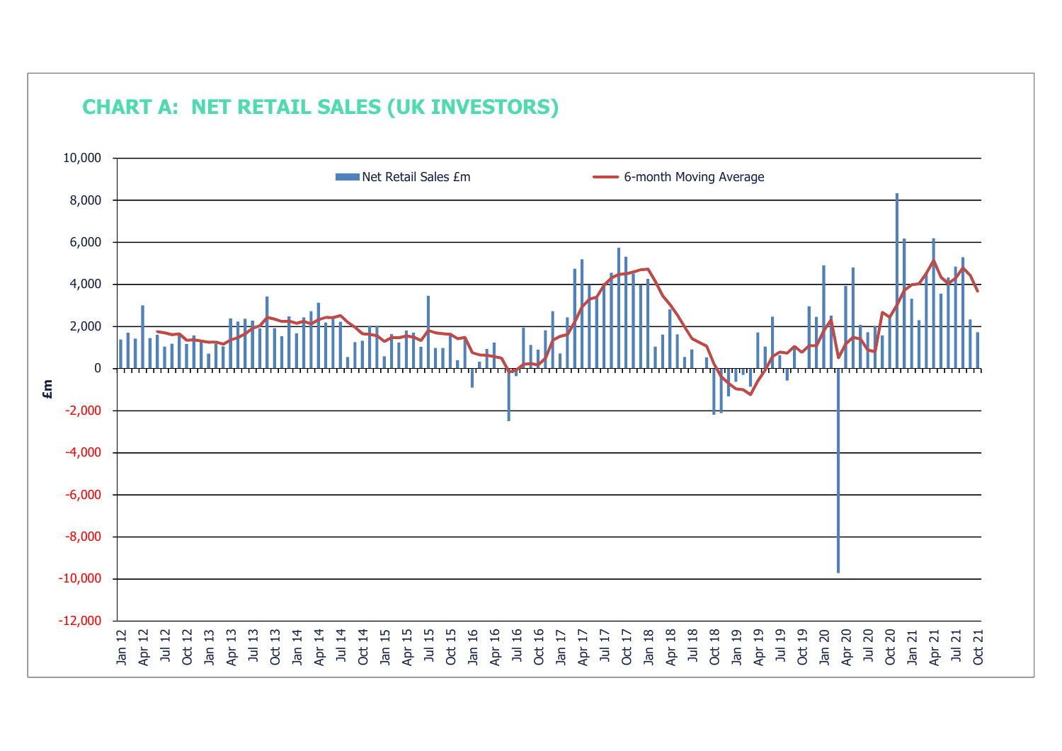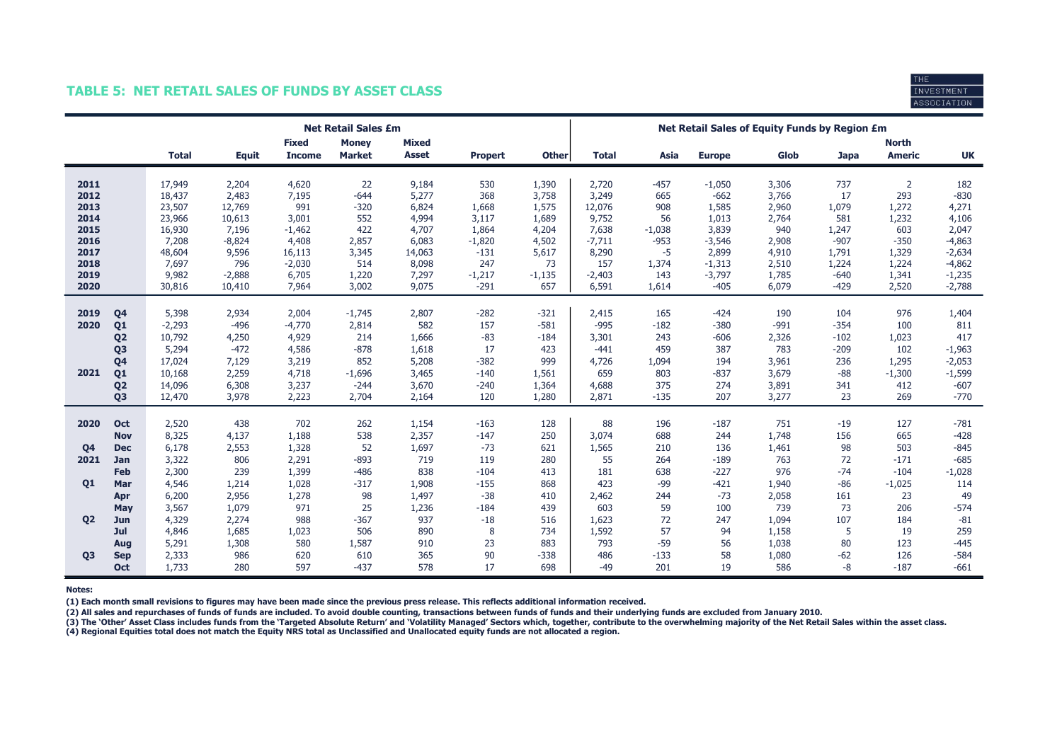## TABLE 5: NET RETAIL SALES OF FUNDS BY ASSET CLASS



|                |                |              |              |                               | <b>Net Retail Sales £m</b>    |                              |                |              | Net Retail Sales of Equity Funds by Region £m |          |               |        |             |                               |           |
|----------------|----------------|--------------|--------------|-------------------------------|-------------------------------|------------------------------|----------------|--------------|-----------------------------------------------|----------|---------------|--------|-------------|-------------------------------|-----------|
|                |                | <b>Total</b> | <b>Equit</b> | <b>Fixed</b><br><b>Income</b> | <b>Money</b><br><b>Market</b> | <b>Mixed</b><br><b>Asset</b> | <b>Propert</b> | <b>Other</b> | <b>Total</b>                                  | Asia     | <b>Europe</b> | Glob   | <b>Japa</b> | <b>North</b><br><b>Americ</b> | <b>UK</b> |
| 2011           |                | 17,949       | 2,204        | 4,620                         | 22                            | 9,184                        | 530            | 1,390        | 2,720                                         | $-457$   | $-1,050$      | 3,306  | 737         | $\overline{2}$                | 182       |
| 2012           |                | 18,437       | 2,483        | 7,195                         | $-644$                        | 5,277                        | 368            | 3,758        | 3,249                                         | 665      | $-662$        | 3,766  | 17          | 293                           | $-830$    |
| 2013           |                | 23,507       | 12,769       | 991                           | $-320$                        | 6,824                        | 1,668          | 1,575        | 12,076                                        | 908      | 1,585         | 2,960  | 1,079       | 1,272                         | 4,271     |
| 2014           |                | 23,966       | 10,613       | 3,001                         | 552                           | 4,994                        | 3,117          | 1,689        | 9,752                                         | 56       | 1,013         | 2,764  | 581         | 1,232                         | 4,106     |
| 2015           |                | 16,930       | 7,196        | $-1,462$                      | 422                           | 4,707                        | 1,864          | 4,204        | 7,638                                         | $-1,038$ | 3,839         | 940    | 1,247       | 603                           | 2,047     |
| 2016           |                | 7,208        | $-8,824$     | 4,408                         | 2,857                         | 6,083                        | $-1,820$       | 4,502        | $-7,711$                                      | $-953$   | $-3,546$      | 2,908  | $-907$      | $-350$                        | $-4,863$  |
| 2017           |                | 48,604       | 9,596        | 16,113                        | 3,345                         | 14,063                       | $-131$         | 5,617        | 8,290                                         | -5       | 2,899         | 4,910  | 1,791       | 1,329                         | $-2,634$  |
| 2018           |                | 7,697        | 796          | $-2,030$                      | 514                           | 8,098                        | 247            | 73           | 157                                           | 1,374    | $-1,313$      | 2,510  | 1,224       | 1,224                         | $-4,862$  |
| 2019           |                | 9,982        | $-2,888$     | 6,705                         | 1,220                         | 7,297                        | $-1,217$       | $-1,135$     | $-2,403$                                      | 143      | $-3,797$      | 1,785  | $-640$      | 1,341                         | $-1,235$  |
| 2020           |                | 30,816       | 10,410       | 7,964                         | 3,002                         | 9,075                        | $-291$         | 657          | 6,591                                         | 1,614    | $-405$        | 6,079  | $-429$      | 2,520                         | $-2,788$  |
|                |                |              |              |                               |                               |                              |                |              |                                               |          |               |        |             |                               |           |
| 2019           | Q <sub>4</sub> | 5,398        | 2,934        | 2,004                         | $-1,745$                      | 2,807                        | $-282$         | $-321$       | 2,415                                         | 165      | $-424$        | 190    | 104         | 976                           | 1,404     |
| 2020           | Q <sub>1</sub> | $-2,293$     | $-496$       | $-4,770$                      | 2,814                         | 582                          | 157            | $-581$       | $-995$                                        | $-182$   | $-380$        | $-991$ | $-354$      | 100                           | 811       |
|                | Q <sub>2</sub> | 10,792       | 4,250        | 4,929                         | 214                           | 1,666                        | $-83$          | $-184$       | 3,301                                         | 243      | $-606$        | 2,326  | $-102$      | 1,023                         | 417       |
|                | Q <sub>3</sub> | 5,294        | $-472$       | 4,586                         | $-878$                        | 1,618                        | 17             | 423          | $-441$                                        | 459      | 387           | 783    | $-209$      | 102                           | $-1,963$  |
|                | Q <sub>4</sub> | 17,024       | 7,129        | 3,219                         | 852                           | 5,208                        | $-382$         | 999          | 4,726                                         | 1,094    | 194           | 3,961  | 236         | 1,295                         | $-2,053$  |
| 2021           | Q <sub>1</sub> | 10,168       | 2,259        | 4,718                         | $-1,696$                      | 3,465                        | $-140$         | 1,561        | 659                                           | 803      | $-837$        | 3,679  | $-88$       | $-1,300$                      | $-1,599$  |
|                | Q <sub>2</sub> | 14,096       | 6,308        | 3,237                         | $-244$                        | 3,670                        | $-240$         | 1,364        | 4,688                                         | 375      | 274           | 3,891  | 341         | 412                           | $-607$    |
|                | Q <sub>3</sub> | 12,470       | 3,978        | 2,223                         | 2,704                         | 2,164                        | 120            | 1,280        | 2,871                                         | $-135$   | 207           | 3,277  | 23          | 269                           | $-770$    |
|                |                |              |              |                               |                               |                              |                |              |                                               |          |               |        |             |                               |           |
| 2020           | Oct            | 2,520        | 438          | 702                           | 262                           | 1,154                        | $-163$         | 128          | 88                                            | 196      | $-187$        | 751    | $-19$       | 127                           | $-781$    |
|                | <b>Nov</b>     | 8,325        | 4,137        | 1,188                         | 538                           | 2,357                        | $-147$         | 250          | 3,074                                         | 688      | 244           | 1,748  | 156         | 665                           | $-428$    |
| Q <sub>4</sub> | <b>Dec</b>     | 6,178        | 2,553        | 1,328                         | 52                            | 1,697                        | $-73$          | 621          | 1,565                                         | 210      | 136           | 1,461  | 98          | 503                           | $-845$    |
| 2021           | Jan            | 3,322        | 806          | 2,291                         | $-893$                        | 719                          | 119            | 280          | 55                                            | 264      | $-189$        | 763    | 72          | $-171$                        | $-685$    |
|                | <b>Feb</b>     | 2,300        | 239          | 1,399                         | $-486$                        | 838                          | $-104$         | 413          | 181                                           | 638      | $-227$        | 976    | $-74$       | $-104$                        | $-1,028$  |
| <b>Q1</b>      | Mar            | 4,546        | 1,214        | 1,028                         | $-317$                        | 1,908                        | $-155$         | 868          | 423                                           | $-99$    | $-421$        | 1,940  | $-86$       | $-1,025$                      | 114       |
|                | Apr            | 6,200        | 2,956        | 1,278                         | 98                            | 1,497                        | $-38$          | 410          | 2,462                                         | 244      | $-73$         | 2,058  | 161         | 23                            | 49        |
|                | May            | 3,567        | 1,079        | 971                           | 25                            | 1,236                        | $-184$         | 439          | 603                                           | 59       | 100           | 739    | 73          | 206                           | $-574$    |
| Q <sub>2</sub> | Jun            | 4,329        | 2,274        | 988                           | $-367$                        | 937                          | $-18$          | 516          | 1,623                                         | 72       | 247           | 1,094  | 107         | 184                           | $-81$     |
|                | Jul            | 4,846        | 1,685        | 1,023                         | 506                           | 890                          | 8              | 734          | 1,592                                         | 57       | 94            | 1,158  | 5           | 19                            | 259       |
|                | Aug            | 5,291        | 1,308        | 580                           | 1,587                         | 910                          | 23             | 883          | 793                                           | $-59$    | 56            | 1,038  | 80          | 123                           | $-445$    |
| <b>Q3</b>      | <b>Sep</b>     | 2,333        | 986          | 620                           | 610                           | 365                          | 90             | $-338$       | 486                                           | $-133$   | 58            | 1,080  | $-62$       | 126                           | $-584$    |
|                | Oct            | 1,733        | 280          | 597                           | $-437$                        | 578                          | 17             | 698          | $-49$                                         | 201      | 19            | 586    | $-8$        | $-187$                        | $-661$    |

Notes:

(1) Each month small revisions to figures may have been made since the previous press release. This reflects additional information received.

(2) All sales and repurchases of funds of funds are included. To avoid double counting, transactions between funds of funds and their underlying funds are excluded from January 2010.

(3) The 'Other' Asset Class includes funds from the 'Targeted Absolute Return' and 'Volatility Managed' Sectors which, together, contribute to the overwhelming majority of the Net Retail Sales within the asset class.

(4) Regional Equities total does not match the Equity NRS total as Unclassified and Unallocated equity funds are not allocated a region.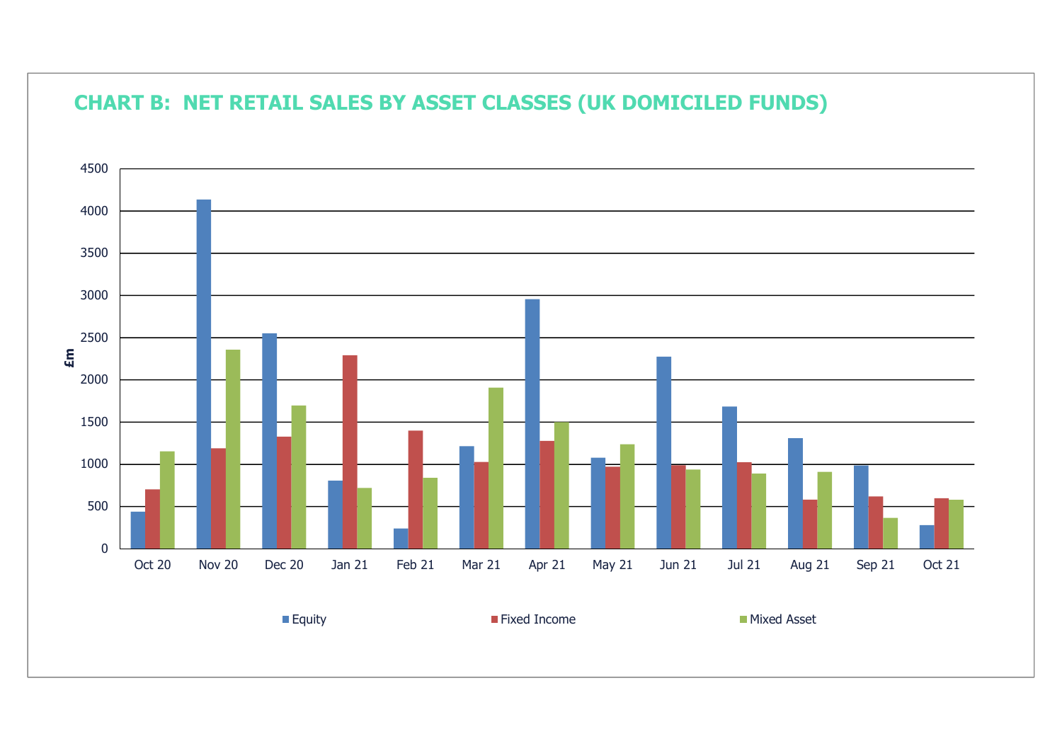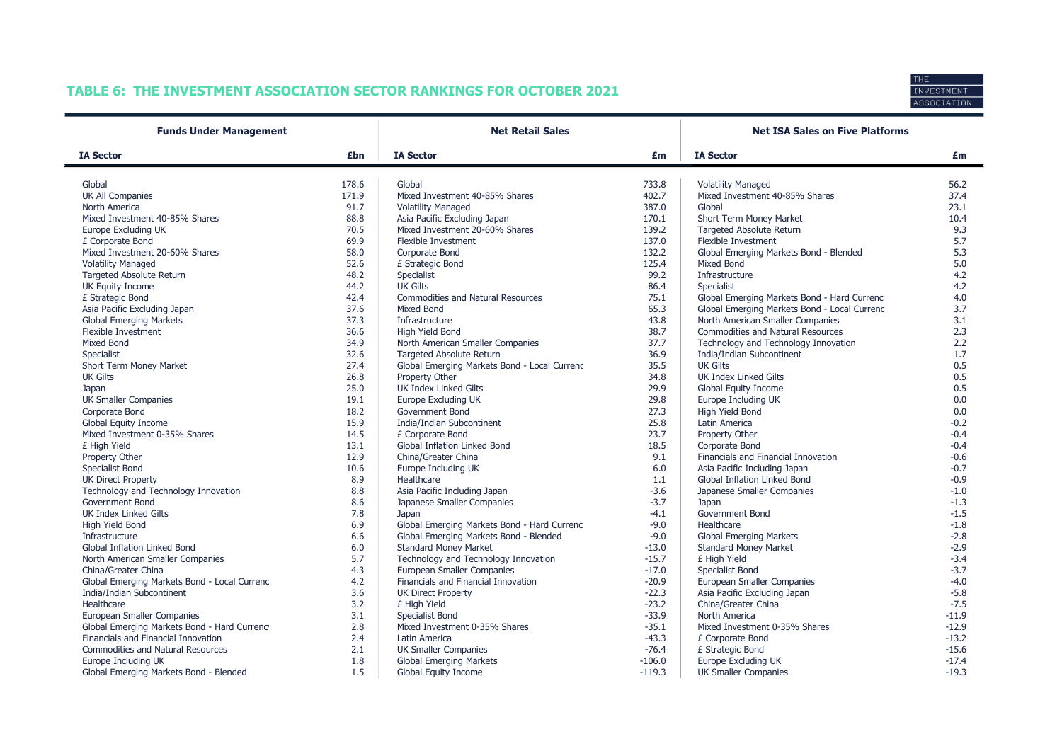# TABLE 6: THE INVESTMENT ASSOCIATION SECTOR RANKINGS FOR OCTOBER 2021



| <b>Funds Under Management</b>                |       | <b>Net Retail Sales</b>                      |                | <b>Net ISA Sales on Five Platforms</b>                      |         |  |  |
|----------------------------------------------|-------|----------------------------------------------|----------------|-------------------------------------------------------------|---------|--|--|
| <b>IA Sector</b>                             | £bn   | <b>IA Sector</b>                             | £m             | <b>IA Sector</b>                                            | £m      |  |  |
| Global                                       | 178.6 | Global                                       |                |                                                             | 56.2    |  |  |
| <b>UK All Companies</b>                      | 171.9 | Mixed Investment 40-85% Shares               | 733.8<br>402.7 | <b>Volatility Managed</b><br>Mixed Investment 40-85% Shares | 37.4    |  |  |
| North America                                | 91.7  | <b>Volatility Managed</b>                    | 387.0          | Global                                                      | 23.1    |  |  |
| Mixed Investment 40-85% Shares               | 88.8  | Asia Pacific Excluding Japan                 | 170.1          | Short Term Money Market                                     | 10.4    |  |  |
| Europe Excluding UK                          | 70.5  | Mixed Investment 20-60% Shares               | 139.2          | <b>Targeted Absolute Return</b>                             | 9.3     |  |  |
| £ Corporate Bond                             | 69.9  | Flexible Investment                          | 137.0          | <b>Flexible Investment</b>                                  | 5.7     |  |  |
| Mixed Investment 20-60% Shares               | 58.0  | Corporate Bond                               | 132.2          | Global Emerging Markets Bond - Blended                      | 5.3     |  |  |
| <b>Volatility Managed</b>                    | 52.6  | £ Strategic Bond                             | 125.4          | <b>Mixed Bond</b>                                           | 5.0     |  |  |
| <b>Targeted Absolute Return</b>              | 48.2  | Specialist                                   | 99.2           | Infrastructure                                              | 4.2     |  |  |
| UK Equity Income                             | 44.2  | <b>UK Gilts</b>                              | 86.4           | Specialist                                                  | 4.2     |  |  |
| £ Strategic Bond                             | 42.4  | <b>Commodities and Natural Resources</b>     | 75.1           | Global Emerging Markets Bond - Hard Currenc                 | 4.0     |  |  |
| Asia Pacific Excluding Japan                 | 37.6  | Mixed Bond                                   | 65.3           | Global Emerging Markets Bond - Local Currenc                | 3.7     |  |  |
| <b>Global Emerging Markets</b>               | 37.3  | Infrastructure                               | 43.8           | North American Smaller Companies                            | 3.1     |  |  |
| <b>Flexible Investment</b>                   | 36.6  | High Yield Bond                              | 38.7           | Commodities and Natural Resources                           | 2.3     |  |  |
| Mixed Bond                                   | 34.9  | North American Smaller Companies             | 37.7           | Technology and Technology Innovation                        | 2.2     |  |  |
| <b>Specialist</b>                            | 32.6  | <b>Targeted Absolute Return</b>              | 36.9           | India/Indian Subcontinent                                   | 1.7     |  |  |
| Short Term Money Market                      | 27.4  | Global Emerging Markets Bond - Local Currenc | 35.5           | <b>UK Gilts</b>                                             | 0.5     |  |  |
| <b>UK Gilts</b>                              | 26.8  | Property Other                               | 34.8           | <b>UK Index Linked Gilts</b>                                | 0.5     |  |  |
| Japan                                        | 25.0  | <b>UK Index Linked Gilts</b>                 | 29.9           | Global Equity Income                                        | 0.5     |  |  |
| <b>UK Smaller Companies</b>                  | 19.1  | Europe Excluding UK                          | 29.8           | Europe Including UK                                         | 0.0     |  |  |
| Corporate Bond                               | 18.2  | <b>Government Bond</b>                       | 27.3           | High Yield Bond                                             | 0.0     |  |  |
| Global Equity Income                         | 15.9  | India/Indian Subcontinent                    | 25.8           | Latin America                                               | $-0.2$  |  |  |
| Mixed Investment 0-35% Shares                | 14.5  | £ Corporate Bond                             | 23.7           | Property Other                                              | $-0.4$  |  |  |
| £ High Yield                                 | 13.1  | <b>Global Inflation Linked Bond</b>          | 18.5           | Corporate Bond                                              | $-0.4$  |  |  |
| Property Other                               | 12.9  | China/Greater China                          | 9.1            | Financials and Financial Innovation                         | $-0.6$  |  |  |
| Specialist Bond                              | 10.6  | Europe Including UK                          | 6.0            | Asia Pacific Including Japan                                | $-0.7$  |  |  |
| <b>UK Direct Property</b>                    | 8.9   | Healthcare                                   | 1.1            | Global Inflation Linked Bond                                | $-0.9$  |  |  |
| Technology and Technology Innovation         | 8.8   | Asia Pacific Including Japan                 | $-3.6$         | Japanese Smaller Companies                                  | $-1.0$  |  |  |
| <b>Government Bond</b>                       | 8.6   | Japanese Smaller Companies                   | $-3.7$         | Japan                                                       | $-1.3$  |  |  |
| <b>UK Index Linked Gilts</b>                 | 7.8   | Japan                                        | $-4.1$         | Government Bond                                             | $-1.5$  |  |  |
| High Yield Bond                              | 6.9   | Global Emerging Markets Bond - Hard Currenc  | $-9.0$         | Healthcare                                                  | $-1.8$  |  |  |
| Infrastructure                               | 6.6   | Global Emerging Markets Bond - Blended       | $-9.0$         | <b>Global Emerging Markets</b>                              | $-2.8$  |  |  |
| Global Inflation Linked Bond                 | 6.0   | <b>Standard Money Market</b>                 | $-13.0$        | <b>Standard Money Market</b>                                | $-2.9$  |  |  |
| North American Smaller Companies             | 5.7   | Technology and Technology Innovation         | $-15.7$        | £ High Yield                                                | $-3.4$  |  |  |
| China/Greater China                          | 4.3   | European Smaller Companies                   | $-17.0$        | Specialist Bond                                             | $-3.7$  |  |  |
| Global Emerging Markets Bond - Local Currenc | 4.2   | Financials and Financial Innovation          | $-20.9$        | European Smaller Companies                                  | $-4.0$  |  |  |
| India/Indian Subcontinent                    | 3.6   | <b>UK Direct Property</b>                    | $-22.3$        | Asia Pacific Excluding Japan                                | $-5.8$  |  |  |
| Healthcare                                   | 3.2   | £ High Yield                                 | $-23.2$        | China/Greater China                                         | $-7.5$  |  |  |
| European Smaller Companies                   | 3.1   | Specialist Bond                              | $-33.9$        | North America                                               | $-11.9$ |  |  |
| Global Emerging Markets Bond - Hard Currenc  | 2.8   | Mixed Investment 0-35% Shares                | $-35.1$        | Mixed Investment 0-35% Shares                               | $-12.9$ |  |  |
| Financials and Financial Innovation          | 2.4   | Latin America                                | $-43.3$        | £ Corporate Bond                                            | $-13.2$ |  |  |
| <b>Commodities and Natural Resources</b>     | 2.1   | <b>UK Smaller Companies</b>                  | $-76.4$        | £ Strategic Bond                                            | $-15.6$ |  |  |
| Europe Including UK                          | 1.8   | <b>Global Emerging Markets</b>               | $-106.0$       | Europe Excluding UK                                         | $-17.4$ |  |  |
| Global Emerging Markets Bond - Blended       | 1.5   | Global Equity Income                         | $-119.3$       | <b>UK Smaller Companies</b>                                 | $-19.3$ |  |  |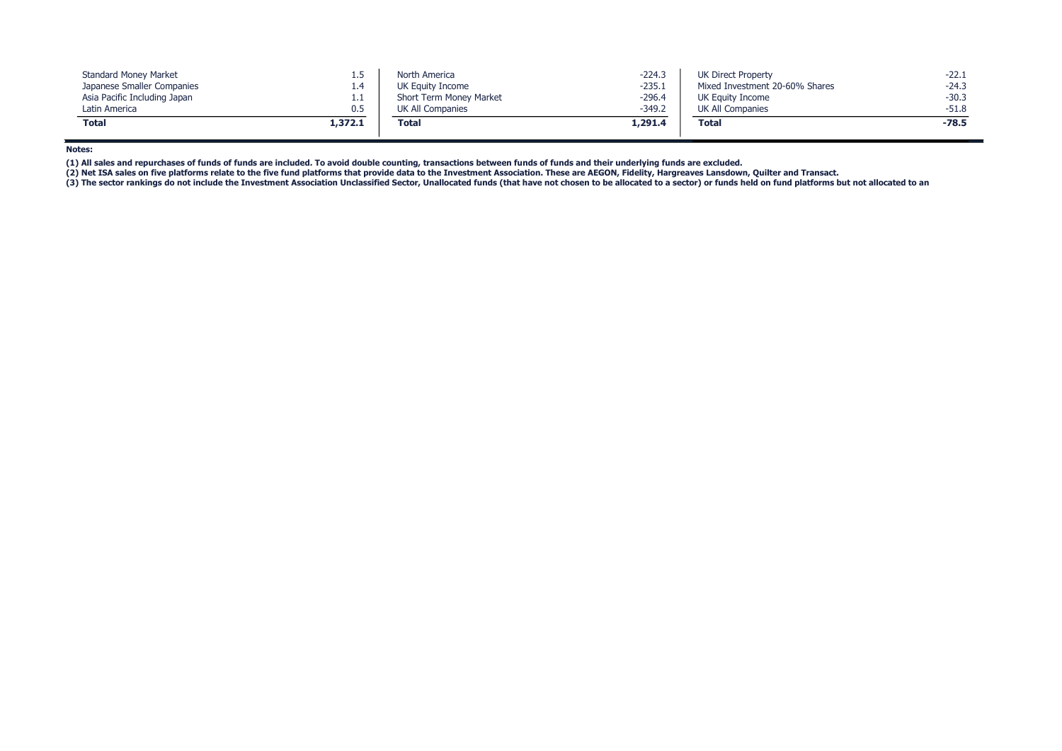| <b>Standard Money Market</b> |            | North America           | $-224.3$ | <b>UK Direct Property</b>      | $-22.1$ |
|------------------------------|------------|-------------------------|----------|--------------------------------|---------|
| Japanese Smaller Companies   | 1.4        | UK Equity Income        | $-235.1$ | Mixed Investment 20-60% Shares | $-24.3$ |
| Asia Pacific Including Japan | <b>L.L</b> | Short Term Money Market | $-296.4$ | UK Equity Income               | $-30.3$ |
| Latin America                | 0.5        | UK All Companies        | $-349.2$ | UK All Companies               | $-51.8$ |
| Total                        | 1,372.1    | <b>Total</b>            | 1,291.4  | <b>Total</b>                   | $-78.5$ |

Notes:

(1) All sales and repurchases of funds of funds are included. To avoid double counting, transactions between funds of funds and their underlying funds are excluded.

(2) Net ISA sales on five platforms relate to the five fund platforms that provide data to the Investment Association. These are AEGON, Fidelity, Hargreaves Lansdown, Quilter and Transact.

(3) The sector rankings do not include the Investment Association Unclassified Sector, Unallocated funds (that have not chosen to be allocated to a sector) or funds held on fund platforms but not allocated to an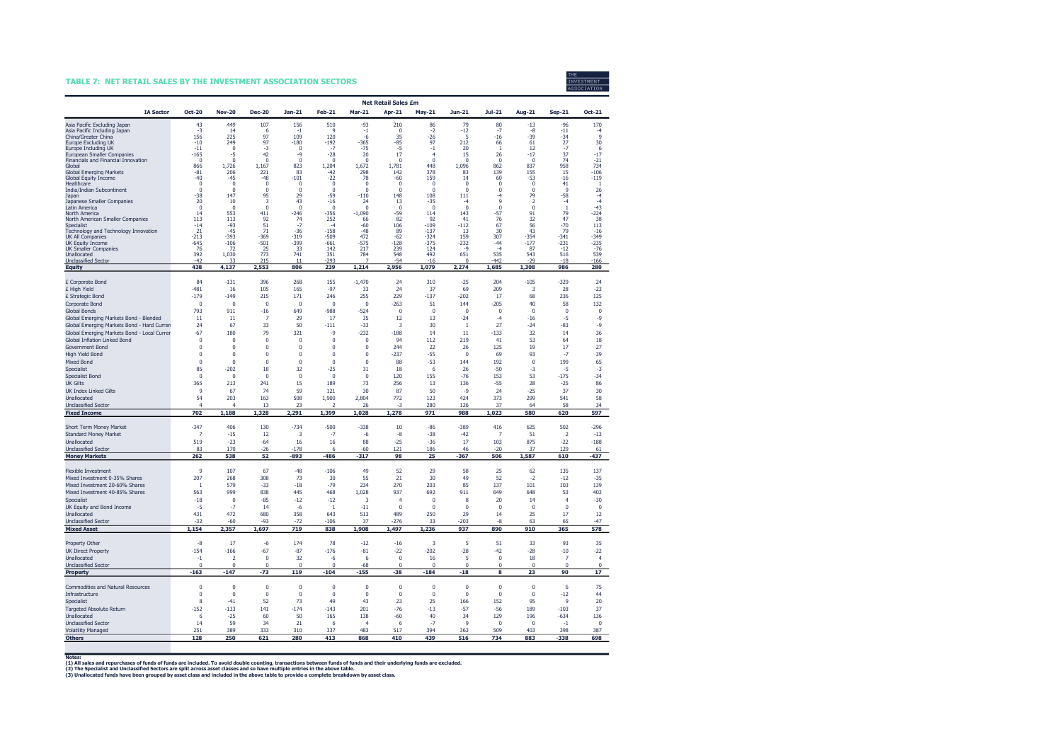#### TABLE 7: NET RETAIL SALES BY THE INVESTMENT ASSOCIATION SECTORS



|                                                                   | <b>Net Retail Sales £m</b> |                            |                          |                       |                       |                         |                       |                        |                      |                   |                  |                      |                      |
|-------------------------------------------------------------------|----------------------------|----------------------------|--------------------------|-----------------------|-----------------------|-------------------------|-----------------------|------------------------|----------------------|-------------------|------------------|----------------------|----------------------|
| <b>IA Sector</b>                                                  | <b>Oct-20</b>              | <b>Nov-20</b>              | <b>Dec-20</b>            | <b>Jan-21</b>         | <b>Feb-21</b>         | <b>Mar-21</b>           | Apr-21                | <b>May-21</b>          | Jun-21               | Jul-21            | Aug-21           | <b>Sep-21</b>        | Oct-21               |
| Asia Pacific Excluding Japan                                      | 43                         | 449                        | 107                      | 156                   | 510                   | -93                     | 210                   | 86                     | 79                   | 80                | $-13$            | $-96$                | 170                  |
| Asia Pacific Including Japan<br>China/Greater China               | $-3$<br>156                | 14<br>225                  | 6<br>97                  | $-1$<br>109           | 9<br>120              | $-1$<br>$-6$            | $\Omega$<br>35        | $-2$<br>$-26$          | $-12$<br>5           | $-7$<br>$-16$     | -8<br>$-39$      | $-11$<br>$-34$       | -4<br>$\overline{9}$ |
| Europe Excluding UK                                               | $-10$                      | 249                        | 97                       | -180                  | $-192$                | -365                    | -85                   | 97                     | 212                  | 66                | 61               | 27                   | 30                   |
| Europe Including UK                                               | $-11$                      | $\Omega$<br>-5             | $-3$<br>42               | $\Omega$<br>-9        | $-7$                  | $-75$<br>20             | $-5$<br>17            | $-1$<br>$\overline{4}$ | 20                   | $\overline{1}$    | 12               | $-7$<br>37           | 6<br>$-17$           |
| European Smaller Companies<br>Financials and Financial Innovation | $-165$<br>$\pmb{0}$        | $\Omega$                   | $\Omega$                 | $\theta$              | $-28$<br>$\theta$     | $\Omega$                | $\pmb{0}$             | $\Omega$               | 15<br>$\theta$       | 26<br>$\Omega$    | $-17$<br>$\bf 0$ | 74                   | $-21$                |
| Global                                                            | 866                        | 1,726                      | 1.167                    | 823                   | 1,204                 | 1,672                   | 1,781                 | 448                    | 1,096<br>83          | 862<br>139        | 837              | 958                  | 734<br>$-106$        |
| <b>Global Emerging Markets</b><br>Global Equity Income            | $-81$<br>$-40$             | 206<br>-45                 | 221<br>$-48$             | 83<br>$-101$          | -42<br>$-22$          | 298<br>78               | 142<br>-60            | 378<br>159             | 14                   | 60                | 155<br>$-53$     | 15<br>$-16$          | $-119$               |
| Healthcare                                                        | $\Omega$                   | $\theta$                   | $\Omega$                 | $\bf{0}$              | $\Omega$              | $\bf{0}$                | $\pmb{0}$             | $\mathbf 0$            | $\theta$             | $\pmb{0}$         | $\Omega$         | 41                   | $\overline{1}$       |
| India/Indian Subcontinent<br>Japan                                | $\Omega$<br>$-38$          | $\Omega$<br>147            | $\Omega$<br>95           | $\Omega$<br>29        | $\Omega$<br>$-59$     | $\Omega$<br>$-110$      | $\Omega$<br>148       | $\Omega$<br>108        | $\Omega$<br>111      | $\Omega$<br>$-4$  | $\Omega$<br>79   | 9<br>-58             | 26<br>$-4$           |
| Japanese Smaller Companies                                        | 20                         | 10                         | 3                        | 43                    | $-16$                 | 24                      | 13                    | $-35$                  | $-4$                 | 9                 | $\overline{2}$   | $-4$                 | $-4$                 |
| Latin America<br>North America                                    | $\Omega$<br>14             | $\Omega$<br>553            | $\mathbf{0}$<br>411      | $\mathbf 0$<br>$-246$ | $\Omega$<br>$-356$    | $\Omega$<br>$-1,090$    | $\Omega$<br>$-59$     | $\Omega$<br>114        | $\mathbf{0}$<br>143  | $\Omega$<br>$-57$ | $\Omega$<br>91   | $\overline{1}$<br>79 | $-43$<br>$-224$      |
| North American Smaller Companies                                  | 113                        | 113                        | 92                       | 74                    | 252                   | 66                      | 82                    | 92                     | 41                   | 76                | 32               | 47                   | -38                  |
| Specialist<br>Technology and Technology Innovation                | $-14$<br>21                | $-93$<br>$-45$             | 51<br>71                 | $-7$<br>$-36$         | $-4$<br>$-158$        | $-60$<br>$-48$          | 106<br>89             | $-109$<br>$-137$       | $-112$<br>13         | 67<br>30          | 56<br>43         | $-70$<br>79          | 113<br>$-16$         |
| UK All Companies                                                  | $-213$                     | $-393$                     | $-369$                   | $-319$                | $-509$                | 472                     | $-62$                 | $-324$                 | 159                  | 307               | $-354$           | $-341$               | $-349$               |
| UK Equity Income<br><b>UK Smaller Companies</b>                   | -645<br>76                 | $-106$<br>72               | $-501$<br>25             | -399<br>33            | -661<br>142           | -575<br>217             | $-128$<br>239         | $-375$<br>124          | $-232$<br>-9         | $-44$<br>$-4$     | $-177$<br>87     | $-231$<br>$-12$      | $-235$<br>$-76$      |
| Unallocated                                                       | 392                        | 1,030                      | 773                      | 741                   | 351                   | 784                     | 548                   | 492                    | 651                  | 535               | 543              | 516                  | 539                  |
| <b>Unclassified Sector</b>                                        | $-42$<br>438               | 33<br>4,137                | 215<br>2,553             | 11<br>806             | $-293$<br>239         | 7<br>1,214              | $-54$<br>2,956        | $-16$<br>1,079         | $\Omega$<br>2,274    | $-442$<br>1,685   | $-29$<br>1,308   | $-18$<br>986         | $-166$<br>280        |
| <b>Equity</b>                                                     |                            |                            |                          |                       |                       |                         |                       |                        |                      |                   |                  |                      |                      |
| £ Corporate Bond                                                  | 84                         | $-131$                     | 396                      | 268                   | 155                   | $-1,470$                | 24                    | 310                    | $-25$                | 204               | $-105$           | $-329$               | 24                   |
| £ High Yield                                                      | $-481$                     | 16                         | 105                      | 165                   | $-97$                 | 33                      | 24                    | 37                     | 69                   | 209               | 3                | 28                   | $-23$                |
| £ Strategic Bond<br>Corporate Bond                                | $-179$<br>$\Omega$         | $-149$<br>$\theta$         | 215<br>$\Omega$          | 171<br>$\mathbf 0$    | 246<br>$\Omega$       | 255<br>$\mathbf{0}$     | 229<br>$-263$         | $-137$<br>51           | $-202$<br>144        | 17<br>$-205$      | 68<br>40         | 236<br>58            | 125<br>132           |
| <b>Global Bonds</b>                                               | 793                        | 911                        | $-16$                    | 649                   | $-988$                | $-524$                  | $\pmb{0}$             | $\pmb{0}$              | $\bf{0}$             | $\pmb{0}$         | $\bf 0$          | $\bf 0$              | $\bf{0}$             |
| Global Emerging Markets Bond - Blended                            | 11                         | 11                         | $\overline{7}$           | 29                    | 17                    | 35                      | 12                    | 13                     | $-24$                | $-4$              | $-16$            | $-5$                 | -9                   |
| Global Emerging Markets Bond - Hard Currer                        | 24                         | 67                         | 33                       | 50                    | $-111$                | $-33$                   | 3                     | 30                     | $\mathbf{1}$         | 27                | $-24$            | $-83$                | -9                   |
| Global Emerging Markets Bond - Local Currer                       | $-67$                      | 180                        | 79                       | 321                   | -9                    | $-232$                  | $-188$                | 14                     | 11                   | $-133$            | 32               | 14                   | 36                   |
| Global Inflation Linked Bond                                      | $\pmb{0}$                  | $\mathbf{0}$               | $\pmb{0}$                | $\bf 0$               | $\pmb{0}$             | $\bf{0}$                | 94                    | 112                    | 219                  | 41                | 53               | 64                   | 18                   |
| Government Bond<br><b>High Yield Bond</b>                         | $\mathbf{0}$<br>$\Omega$   | $\overline{0}$<br>$\Omega$ | $\mathbf{0}$<br>$\Omega$ | $\bf 0$<br>$\Omega$   | $\pmb{0}$<br>$\Omega$ | $\mathbf 0$<br>$\Omega$ | 244<br>$-237$         | 22<br>$-55$            | 26<br>$\Omega$       | 125<br>69         | 19<br>93         | 17<br>$-7$           | 27<br>39             |
| <b>Mixed Bond</b>                                                 | $\pmb{0}$                  | $\bf{0}$                   | $\pmb{0}$                | $\bf 0$               | $\pmb{0}$             | $\bf{0}$                | 88                    | $-53$                  | 144                  | 192               | $\bf 0$          | 199                  | 65                   |
| Specialist                                                        | 85                         | $-202$                     | 18                       | 32                    | $-25$                 | 31                      | 18                    | 6                      | 26                   | $-50$             | -3               | $-5$                 | -3                   |
| <b>Specialist Bond</b>                                            | $\pmb{0}$                  | $\bf{0}$                   | $\pmb{0}$                | $\bf 0$               | $\pmb{0}$             | $\bf{0}$                | 120                   | 155                    | $-76$                | 153               | 53               | $-175$               | $-34$                |
| <b>UK Gilts</b>                                                   | 365                        | 213                        | 241                      | 15                    | 189                   | 73                      | 256                   | 13                     | 136                  | $-55$             | 28               | $-25$                | 86                   |
| <b>UK Index Linked Gilts</b><br>Unallocated                       | $\mathbf{q}$<br>54         | 67<br>203                  | 74<br>163                | 59<br>508             | 121<br>1,900          | 30<br>2,804             | 87<br>772             | 50<br>123              | $-9$<br>424          | 24<br>373         | $-25$<br>299     | 37<br>541            | 30<br>58             |
| <b>Unclassified Sector</b>                                        | $\Delta$                   | Δ                          | 13                       | 23                    | ∍                     | 26                      | -3                    | 280                    | 126                  | 37                | 64               | 58                   | 34                   |
| <b>Fixed Income</b>                                               | 702                        | 1,188                      | 1,328                    | 2,291                 | 1,399                 | 1,028                   | 1,278                 | 971                    | 988                  | 1,023             | 580              | 620                  | 597                  |
|                                                                   | $-347$                     | 406                        | 130                      | $-734$                | $-500$                | $-338$                  | 10                    | $-86$                  | $-389$               | 416               | 625              | 502                  | $-296$               |
| Short Term Money Market<br><b>Standard Money Market</b>           | $\overline{7}$             | $-15$                      | 12                       | 3                     | $-7$                  | $-6$                    | $-8$                  | $-38$                  | $-42$                | $\overline{7}$    | 51               | $\overline{2}$       | $-13$                |
| Unallocated                                                       | 519                        | $-23$                      | $-64$                    | 16                    | 16                    | 88                      | $-25$                 | $-36$                  | 17                   | 103               | 875              | $-22$                | $-188$               |
| <b>Unclassified Sector</b>                                        | 83                         | 170                        | $-26$                    | $-178$                | 6                     | $-60$                   | 121                   | 186                    | 46                   | $-20$             | 37               | 129                  | 61                   |
| <b>Money Markets</b>                                              | 262                        | 538                        | 52                       | -893                  | -486                  | -317                    | 98                    | 25                     | -367                 | 506               | 1,587            | 610                  | -437                 |
| Flexible Investment                                               | $\overline{9}$             | 107                        | 67                       | $-48$                 | $-106$                | 49                      | 52                    | 29                     | 58                   | 25                | 62               | 135                  | 137                  |
| Mixed Investment 0-35% Shares                                     | 207                        | 268                        | 308                      | 73                    | 30                    | 55                      | 21                    | 30                     | 49                   | 52                | $-2$             | $-12$                | $-35$                |
| Mixed Investment 20-60% Shares                                    | $\overline{1}$             | 579                        | $-33$                    | $-18$                 | $-79$                 | 234                     | 270                   | 203                    | 85                   | 137               | 101              | 103                  | 139                  |
| Mixed Investment 40-85% Shares                                    | 563<br>$-18$               | 999<br>$\mathbf{0}$        | 838<br>$-85$             | 445<br>$-12$          | 468<br>$-12$          | 1,028<br>3              | 937<br>$\overline{4}$ | 692<br>$\mathbf{0}$    | 911<br>8             | 649               | 648              | 53<br>$\overline{4}$ | 403<br>$-30$         |
| Specialist<br>UK Equity and Bond Income                           | $-5$                       | $-7$                       | 14                       | $-6$                  | $\overline{1}$        | $-11$                   | $\theta$              | $\Omega$               | $\Omega$             | 20<br>$\Omega$    | 14<br>$\Omega$   | $\theta$             | $\Omega$             |
| Unallocated                                                       | 431                        | 472                        | 680                      | 358                   | 643                   | 513                     | 489                   | 250                    | 29                   | 14                | 25               | 17                   | 12                   |
| <b>Unclassified Sector</b>                                        | $-32$                      | $-60$                      | $-93$                    | $-72$                 | $-106$                | 37                      | $-276$                | 33                     | $-203$               | $-8$              | 63               | 65                   | $-47$                |
| <b>Mixed Asset</b>                                                | 1,154                      | 2,357                      | 1,697                    | 719                   | 838                   | 1,908                   | 1,497                 | 1,236                  | 937                  | 890               | 910              | 365                  | 578                  |
| Property Other                                                    | $-8$                       | 17                         | -6                       | 174                   | 78                    | $-12$                   | $-16$                 | 3                      | 5                    | 51                | 33               | 93                   | 35                   |
| <b>UK Direct Property</b>                                         | $-154$                     | $-166$                     | $-67$                    | $-87$                 | $-176$                | $-81$                   | $-22$                 | $-202$                 | $-28$                | $-42$             | $-28$            | $-10$                | $-22$                |
| Unallocated                                                       | $-1$                       | $\overline{\phantom{a}}$   | $\Omega$                 | 32                    | $-6$                  | 6                       | $\pmb{0}$             | 16                     | 5                    | $\Omega$          | 18               | $\overline{7}$       | $\overline{4}$       |
| <b>Unclassified Sector</b>                                        | $\Omega$                   | $\Omega$                   | $\Omega$                 | $\Omega$              | $\Omega$              | $-68$                   | $\Omega$              | $\Omega$               | $\Omega$             | $\Omega$          | $\Omega$         | $\Omega$             | $\Omega$             |
| Property                                                          | $-163$                     | $-147$                     | $-73$                    | 119                   | $-104$                | $-155$                  | $-38$                 | $-184$                 | $-18$                | 8                 | 23               | 90                   | 17                   |
| <b>Commodities and Natural Resources</b>                          | $\Omega$                   | $\theta$                   | $\pmb{0}$                | $\bf 0$               | $\theta$              | $\bf{0}$                | $\pmb{0}$             | $\pmb{0}$              | $\theta$             | $\pmb{0}$         | $\theta$         | 6                    | 75                   |
| Infrastructure                                                    | $\Omega$                   | $\theta$                   | $\Omega$                 | $\theta$              | $\theta$              | $\Omega$                | $\theta$              | $\Omega$               | $\Omega$             | $\Omega$          | $\theta$         | $-12$                | 44                   |
| Specialist                                                        | 8                          | $-41$                      | 52                       | 73                    | 49                    | 43                      | 23                    | 25                     | 166                  | 152               | 95               | $\overline{9}$       | 20                   |
| <b>Targeted Absolute Return</b>                                   | $-152$                     | $-133$                     | 141                      | $-174$                | $-143$                | 201                     | $-76$                 | $-13$                  | $-57$                | $-56$             | 189              | $-103$               | 37                   |
| Unallocated<br><b>Unclassified Sector</b>                         | -6<br>14                   | $-25$<br>59                | 60<br>34                 | 50<br>21              | 165<br>6              | 138<br>$\overline{4}$   | $-60$<br>6            | 40<br>$-7$             | 34<br>$\overline{9}$ | 129<br>$\Omega$   | 196<br>$\theta$  | $-634$<br>$-1$       | 136<br>$\Omega$      |
| <b>Volatility Managed</b>                                         | 251                        | 389                        | 333                      | 310                   | 337                   | 483                     | 517                   | 394                    | 363                  | 509               | 403              | 398                  | 387                  |
| <b>Others</b>                                                     | 128                        | 250                        | 621                      | 280                   | 413                   | 868                     | 410                   | 439                    | 516                  | 734               | 883              | $-338$               | 698                  |

Notes:<br>(1) All sales and repurchases of funds of funds are included. To avoid double counting, transactions between funds of funds and their underlying funds are excluded.

(2) The Specialist and Unclassified Sectors are split across asset classes and so have multiple entries in the above table.<br>(3) Unallocated funds have been grouped by asset class and included in the above table to provide

7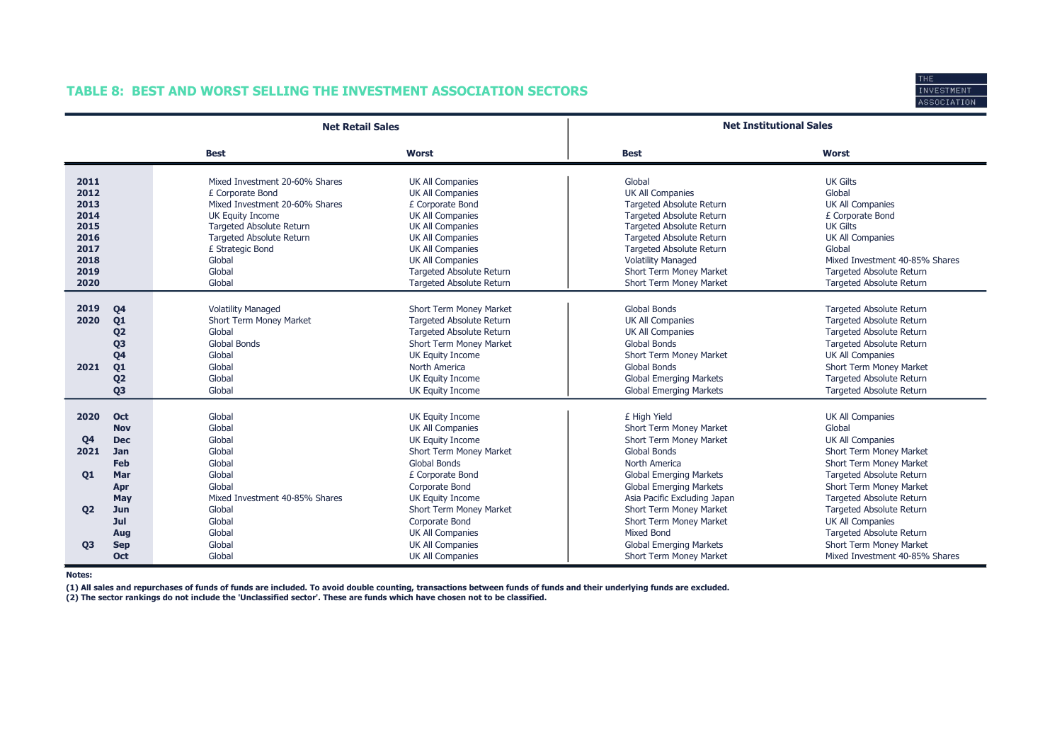# TABLE 8: BEST AND WORST SELLING THE INVESTMENT ASSOCIATION SECTORS



|                                                                              |                                                                                                                      | <b>Net Retail Sales</b>                                                                                                                                                                                                          |                                                                                                                                                                                                                                                         | <b>Net Institutional Sales</b>                                                                                                                                                                                                                                                                      |                                                                                                                                                                                                                                          |
|------------------------------------------------------------------------------|----------------------------------------------------------------------------------------------------------------------|----------------------------------------------------------------------------------------------------------------------------------------------------------------------------------------------------------------------------------|---------------------------------------------------------------------------------------------------------------------------------------------------------------------------------------------------------------------------------------------------------|-----------------------------------------------------------------------------------------------------------------------------------------------------------------------------------------------------------------------------------------------------------------------------------------------------|------------------------------------------------------------------------------------------------------------------------------------------------------------------------------------------------------------------------------------------|
|                                                                              |                                                                                                                      | <b>Best</b>                                                                                                                                                                                                                      | <b>Worst</b>                                                                                                                                                                                                                                            | <b>Best</b>                                                                                                                                                                                                                                                                                         | <b>Worst</b>                                                                                                                                                                                                                             |
| 2011<br>2012<br>2013<br>2014<br>2015<br>2016<br>2017<br>2018<br>2019<br>2020 |                                                                                                                      | Mixed Investment 20-60% Shares<br>£ Corporate Bond<br>Mixed Investment 20-60% Shares<br>UK Equity Income<br><b>Targeted Absolute Return</b><br><b>Targeted Absolute Return</b><br>£ Strategic Bond<br>Global<br>Global<br>Global | UK All Companies<br><b>UK All Companies</b><br>£ Corporate Bond<br><b>UK All Companies</b><br><b>UK All Companies</b><br><b>UK All Companies</b><br><b>UK All Companies</b><br>UK All Companies<br>Targeted Absolute Return<br>Targeted Absolute Return | Global<br><b>UK All Companies</b><br><b>Targeted Absolute Return</b><br><b>Targeted Absolute Return</b><br><b>Targeted Absolute Return</b><br><b>Targeted Absolute Return</b><br><b>Targeted Absolute Return</b><br><b>Volatility Managed</b><br>Short Term Money Market<br>Short Term Money Market | <b>UK Gilts</b><br>Global<br><b>UK All Companies</b><br>£ Corporate Bond<br><b>UK Gilts</b><br><b>UK All Companies</b><br>Global<br>Mixed Investment 40-85% Shares<br>Targeted Absolute Return<br>Targeted Absolute Return               |
| 2019<br>2020<br>2021                                                         | Q <sub>4</sub><br>Q1<br>Q <sub>2</sub><br>Q <sub>3</sub><br>Q <sub>4</sub><br>Q1<br>Q <sub>2</sub><br>Q <sub>3</sub> | <b>Volatility Managed</b><br>Short Term Money Market<br>Global<br><b>Global Bonds</b><br>Global<br>Global<br>Global<br>Global                                                                                                    | Short Term Money Market<br>Targeted Absolute Return<br><b>Targeted Absolute Return</b><br>Short Term Money Market<br>UK Equity Income<br>North America<br>UK Equity Income<br>UK Equity Income                                                          | <b>Global Bonds</b><br><b>UK All Companies</b><br><b>UK All Companies</b><br><b>Global Bonds</b><br>Short Term Money Market<br><b>Global Bonds</b><br><b>Global Emerging Markets</b><br><b>Global Emerging Markets</b>                                                                              | Targeted Absolute Return<br>Targeted Absolute Return<br>Targeted Absolute Return<br><b>Targeted Absolute Return</b><br><b>UK All Companies</b><br>Short Term Money Market<br><b>Targeted Absolute Return</b><br>Targeted Absolute Return |
| 2020<br>Q <sub>4</sub><br>2021<br>Q1<br><b>Q2</b>                            | Oct<br><b>Nov</b><br><b>Dec</b><br><b>Jan</b><br>Feb<br>Mar<br>Apr<br>May<br>Jun                                     | Global<br>Global<br>Global<br>Global<br>Global<br>Global<br>Global<br>Mixed Investment 40-85% Shares<br>Global                                                                                                                   | UK Equity Income<br><b>UK All Companies</b><br>UK Equity Income<br>Short Term Money Market<br><b>Global Bonds</b><br>£ Corporate Bond<br>Corporate Bond<br>UK Equity Income<br>Short Term Money Market                                                  | £ High Yield<br>Short Term Money Market<br>Short Term Money Market<br><b>Global Bonds</b><br><b>North America</b><br><b>Global Emerging Markets</b><br><b>Global Emerging Markets</b><br>Asia Pacific Excluding Japan<br>Short Term Money Market                                                    | <b>UK All Companies</b><br>Global<br>UK All Companies<br>Short Term Money Market<br>Short Term Money Market<br>Targeted Absolute Return<br>Short Term Money Market<br><b>Targeted Absolute Return</b><br><b>Targeted Absolute Return</b> |
| Q <sub>3</sub>                                                               | Jul<br>Aug<br><b>Sep</b><br>Oct                                                                                      | Global<br>Global<br>Global<br>Global                                                                                                                                                                                             | Corporate Bond<br><b>UK All Companies</b><br><b>UK All Companies</b><br><b>UK All Companies</b>                                                                                                                                                         | Short Term Money Market<br><b>Mixed Bond</b><br><b>Global Emerging Markets</b><br>Short Term Money Market                                                                                                                                                                                           | <b>UK All Companies</b><br>Targeted Absolute Return<br>Short Term Money Market<br>Mixed Investment 40-85% Shares                                                                                                                         |

Notes:

(1) All sales and repurchases of funds of funds are included. To avoid double counting, transactions between funds of funds and their underlying funds are excluded.

(2) The sector rankings do not include the 'Unclassified sector'. These are funds which have chosen not to be classified.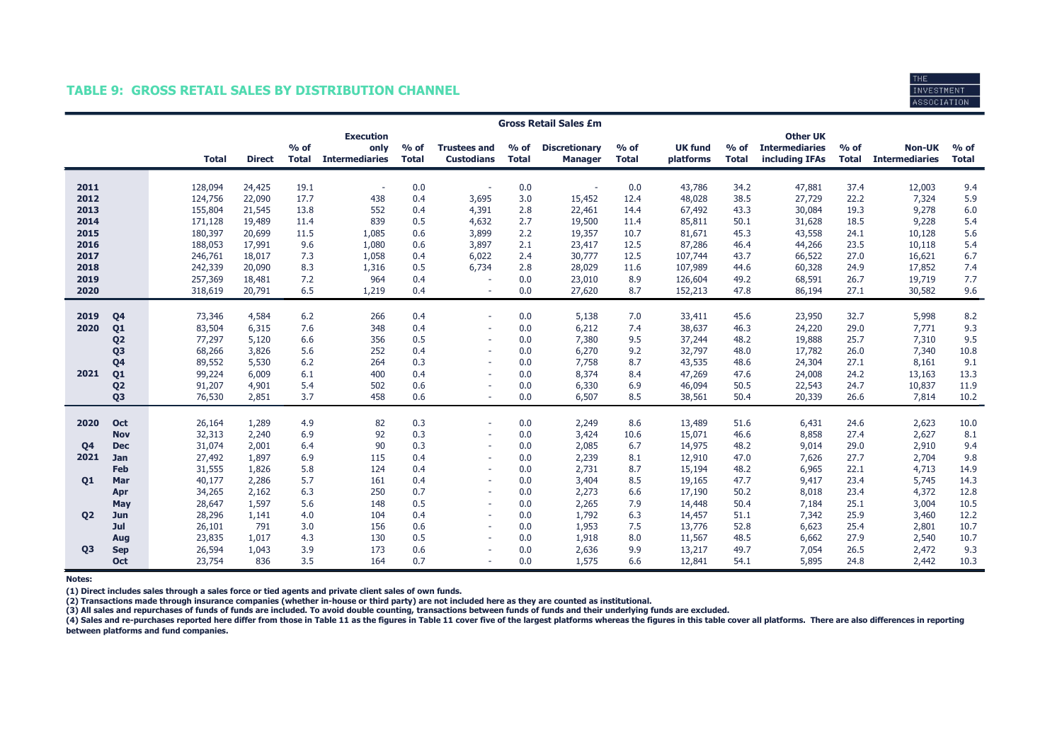## TABLE 9: GROSS RETAIL SALES BY DISTRIBUTION CHANNEL



|                |                   | <b>Gross Retail Sales £m</b> |                  |                        |                                                   |                        |                                          |                        |                                        |                        |                             |                        |                                                            |                        |                                        |                        |
|----------------|-------------------|------------------------------|------------------|------------------------|---------------------------------------------------|------------------------|------------------------------------------|------------------------|----------------------------------------|------------------------|-----------------------------|------------------------|------------------------------------------------------------|------------------------|----------------------------------------|------------------------|
|                |                   | <b>Total</b>                 | <b>Direct</b>    | $%$ of<br><b>Total</b> | <b>Execution</b><br>only<br><b>Intermediaries</b> | $%$ of<br><b>Total</b> | <b>Trustees and</b><br><b>Custodians</b> | $%$ of<br><b>Total</b> | <b>Discretionary</b><br><b>Manager</b> | $%$ of<br><b>Total</b> | <b>UK fund</b><br>platforms | $%$ of<br><b>Total</b> | <b>Other UK</b><br><b>Intermediaries</b><br>including IFAs | $%$ of<br><b>Total</b> | <b>Non-UK</b><br><b>Intermediaries</b> | $%$ of<br><b>Total</b> |
| 2011<br>2012   |                   | 128,094<br>124,756           | 24,425<br>22,090 | 19.1<br>17.7           | $\overline{\phantom{a}}$<br>438                   | 0.0<br>0.4             | 3,695                                    | 0.0<br>3.0             | 15,452                                 | 0.0<br>12.4            | 43,786<br>48,028            | 34.2<br>38.5           | 47,881<br>27,729                                           | 37.4<br>22.2           | 12,003<br>7,324                        | 9.4<br>5.9             |
| 2013           |                   | 155,804                      | 21,545           | 13.8                   | 552                                               | 0.4                    | 4,391                                    | 2.8                    | 22,461                                 | 14.4                   | 67,492                      | 43.3                   | 30,084                                                     | 19.3                   | 9,278                                  | 6.0                    |
| 2014           |                   | 171,128                      | 19,489           | 11.4                   | 839                                               | 0.5                    | 4,632                                    | 2.7                    | 19,500                                 | 11.4                   | 85,811                      | 50.1                   | 31,628                                                     | 18.5                   | 9,228                                  | 5.4                    |
| 2015           |                   | 180,397                      | 20,699           | 11.5                   | 1,085                                             | 0.6                    | 3,899                                    | 2.2                    | 19,357                                 | 10.7                   | 81,671                      | 45.3                   | 43,558                                                     | 24.1                   | 10,128                                 | 5.6                    |
| 2016           |                   | 188,053                      | 17,991           | 9.6                    | 1,080                                             | 0.6                    | 3,897                                    | 2.1                    | 23,417                                 | 12.5                   | 87,286                      | 46.4                   | 44,266                                                     | 23.5                   | 10,118                                 | 5.4                    |
| 2017           |                   | 246,761                      | 18,017           | 7.3                    | 1,058                                             | 0.4                    | 6,022                                    | 2.4                    | 30,777                                 | 12.5                   | 107,744                     | 43.7                   | 66,522                                                     | 27.0                   | 16,621                                 | 6.7                    |
| 2018           |                   | 242,339                      | 20,090           | 8.3                    | 1,316                                             | 0.5                    | 6,734                                    | 2.8                    | 28,029                                 | 11.6                   | 107,989                     | 44.6                   | 60,328                                                     | 24.9                   | 17,852                                 | 7.4                    |
| 2019           |                   | 257,369                      | 18,481           | 7.2                    | 964                                               | 0.4                    |                                          | 0.0                    | 23,010                                 | 8.9                    | 126,604                     | 49.2                   | 68,591                                                     | 26.7                   | 19,719                                 | 7.7                    |
| 2020           |                   | 318,619                      | 20,791           | 6.5                    | 1,219                                             | 0.4                    | $\sim$                                   | 0.0                    | 27,620                                 | 8.7                    | 152,213                     | 47.8                   | 86,194                                                     | 27.1                   | 30,582                                 | 9.6                    |
| 2019           | Q <sub>4</sub>    | 73,346                       | 4,584            | 6.2                    | 266                                               | 0.4                    | $\sim$                                   | 0.0                    | 5,138                                  | 7.0                    | 33,411                      | 45.6                   | 23,950                                                     | 32.7                   | 5,998                                  | 8.2                    |
| 2020           | Q1                | 83,504                       | 6,315            | 7.6                    | 348                                               | 0.4                    | $\sim$                                   | 0.0                    | 6,212                                  | 7.4                    | 38,637                      | 46.3                   | 24,220                                                     | 29.0                   | 7,771                                  | 9.3                    |
|                | Q <sub>2</sub>    | 77,297                       | 5,120            | 6.6                    | 356                                               | 0.5                    | $\sim$                                   | 0.0                    | 7,380                                  | 9.5                    | 37,244                      | 48.2                   | 19,888                                                     | 25.7                   | 7,310                                  | 9.5                    |
|                | Q <sub>3</sub>    | 68,266                       | 3,826            | 5.6                    | 252                                               | 0.4                    |                                          | 0.0                    | 6,270                                  | 9.2                    | 32,797                      | 48.0                   | 17,782                                                     | 26.0                   | 7,340                                  | 10.8                   |
|                | Q <sub>4</sub>    | 89,552                       | 5,530            | 6.2                    | 264                                               | 0.3                    | $\sim$                                   | 0.0                    | 7,758                                  | 8.7                    | 43,535                      | 48.6                   | 24,304                                                     | 27.1                   | 8,161                                  | 9.1                    |
| 2021           | Q <sub>1</sub>    | 99,224                       | 6,009            | 6.1                    | 400                                               | 0.4                    | $\sim$                                   | 0.0                    | 8,374                                  | 8.4                    | 47,269                      | 47.6                   | 24,008                                                     | 24.2                   | 13,163                                 | 13.3                   |
|                | Q <sub>2</sub>    | 91,207                       | 4,901            | 5.4                    | 502                                               | 0.6                    |                                          | 0.0                    | 6,330                                  | 6.9                    | 46,094                      | 50.5                   | 22,543                                                     | 24.7                   | 10,837                                 | 11.9                   |
|                | Q <sub>3</sub>    | 76,530                       | 2,851            | 3.7                    | 458                                               | 0.6                    | ٠                                        | 0.0                    | 6,507                                  | 8.5                    | 38,561                      | 50.4                   | 20,339                                                     | 26.6                   | 7,814                                  | 10.2                   |
|                |                   |                              |                  |                        |                                                   |                        |                                          |                        |                                        |                        |                             |                        |                                                            |                        |                                        |                        |
| 2020           | Oct               | 26,164                       | 1,289            | 4.9                    | 82                                                | 0.3                    |                                          | 0.0                    | 2,249                                  | 8.6                    | 13,489                      | 51.6                   | 6,431                                                      | 24.6                   | 2,623                                  | 10.0                   |
|                | <b>Nov</b>        | 32,313                       | 2,240            | 6.9                    | 92                                                | 0.3                    | ٠                                        | 0.0                    | 3,424                                  | 10.6                   | 15,071                      | 46.6                   | 8,858                                                      | 27.4                   | 2,627                                  | 8.1                    |
| <b>Q4</b>      | <b>Dec</b>        | 31,074                       | 2,001            | 6.4                    | 90                                                | 0.3                    | $\overline{\phantom{a}}$                 | 0.0                    | 2,085                                  | 6.7                    | 14,975                      | 48.2                   | 9,014                                                      | 29.0                   | 2,910                                  | 9.4                    |
| 2021           | Jan               | 27,492                       | 1,897            | 6.9                    | 115                                               | 0.4                    | ٠                                        | 0.0                    | 2,239                                  | 8.1                    | 12,910                      | 47.0                   | 7,626                                                      | 27.7                   | 2,704                                  | 9.8                    |
|                | Feb<br>Mar        | 31,555<br>40,177             | 1,826<br>2,286   | 5.8<br>5.7             | 124<br>161                                        | 0.4<br>0.4             | ٠                                        | 0.0<br>0.0             | 2,731<br>3,404                         | 8.7<br>8.5             | 15,194<br>19,165            | 48.2<br>47.7           | 6,965<br>9,417                                             | 22.1<br>23.4           | 4,713<br>5,745                         | 14.9<br>14.3           |
| Q1             |                   |                              | 2,162            | 6.3                    | 250                                               | 0.7                    | $\overline{\phantom{a}}$                 | 0.0                    | 2,273                                  | 6.6                    | 17,190                      | 50.2                   | 8,018                                                      | 23.4                   | 4,372                                  | 12.8                   |
|                | Apr<br><b>May</b> | 34,265<br>28,647             | 1,597            | 5.6                    | 148                                               | 0.5                    | $\sim$                                   | 0.0                    | 2,265                                  | 7.9                    | 14,448                      | 50.4                   | 7,184                                                      | 25.1                   | 3,004                                  | 10.5                   |
| Q <sub>2</sub> | Jun               | 28,296                       | 1,141            | 4.0                    | 104                                               | 0.4                    | $\overline{\phantom{a}}$                 | 0.0                    | 1,792                                  | 6.3                    | 14,457                      | 51.1                   | 7,342                                                      | 25.9                   | 3,460                                  | 12.2                   |
|                | Jul               | 26,101                       | 791              | 3.0                    | 156                                               | 0.6                    | $\sim$                                   | 0.0                    | 1,953                                  | 7.5                    | 13,776                      | 52.8                   | 6,623                                                      | 25.4                   | 2,801                                  | 10.7                   |
|                | Aug               | 23,835                       | 1,017            | 4.3                    | 130                                               | 0.5                    | $\sim$                                   | 0.0                    | 1,918                                  | 8.0                    | 11,567                      | 48.5                   | 6,662                                                      | 27.9                   | 2,540                                  | 10.7                   |
| <b>Q3</b>      | <b>Sep</b>        | 26,594                       | 1,043            | 3.9                    | 173                                               | 0.6                    |                                          | 0.0                    | 2,636                                  | 9.9                    | 13,217                      | 49.7                   | 7,054                                                      | 26.5                   | 2,472                                  | 9.3                    |
|                | Oct               | 23,754                       | 836              | 3.5                    | 164                                               | 0.7                    | ٠                                        | 0.0                    | 1,575                                  | 6.6                    | 12,841                      | 54.1                   | 5,895                                                      | 24.8                   | 2,442                                  | 10.3                   |

Notes:

(1) Direct includes sales through a sales force or tied agents and private client sales of own funds.<br>(2) Transactions made through insurance companies (whether in-house or third party) are not included here as they are co

(3) All sales and repurchases of funds of funds are included. To avoid double counting, transactions between funds of funds and their underlying funds are excluded.<br>(4) Sales and re-purchases reported here differ from thos between platforms and fund companies.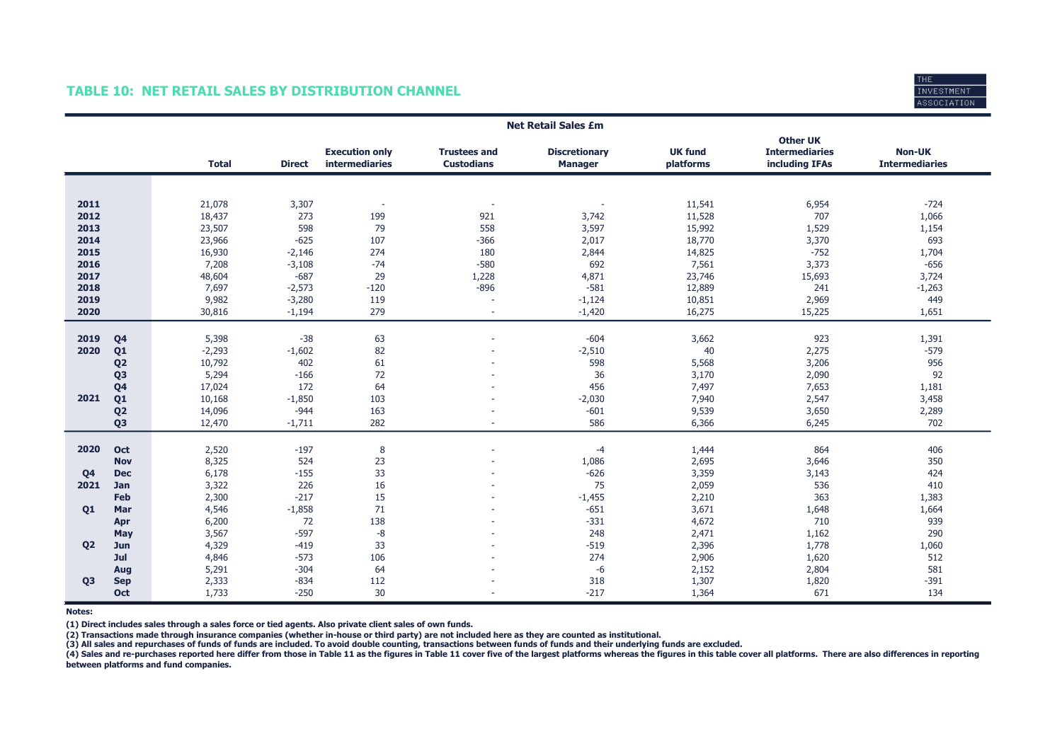## TABLE 10: NET RETAIL SALES BY DISTRIBUTION CHANNEL



|                |                | <b>Net Retail Sales £m</b> |               |                                                |                                          |                                        |                             |                                                            |                                        |  |  |  |
|----------------|----------------|----------------------------|---------------|------------------------------------------------|------------------------------------------|----------------------------------------|-----------------------------|------------------------------------------------------------|----------------------------------------|--|--|--|
|                |                | <b>Total</b>               | <b>Direct</b> | <b>Execution only</b><br><b>intermediaries</b> | <b>Trustees and</b><br><b>Custodians</b> | <b>Discretionary</b><br><b>Manager</b> | <b>UK fund</b><br>platforms | <b>Other UK</b><br><b>Intermediaries</b><br>including IFAs | <b>Non-UK</b><br><b>Intermediaries</b> |  |  |  |
|                |                |                            |               |                                                |                                          |                                        |                             |                                                            |                                        |  |  |  |
|                |                |                            |               |                                                |                                          |                                        |                             |                                                            |                                        |  |  |  |
| 2011           |                | 21,078                     | 3,307         | $\sim$                                         |                                          | $\overline{\phantom{a}}$               | 11,541                      | 6,954                                                      | $-724$                                 |  |  |  |
| 2012           |                | 18,437                     | 273           | 199                                            | 921                                      | 3,742                                  | 11,528                      | 707                                                        | 1,066                                  |  |  |  |
| 2013           |                | 23,507                     | 598           | 79                                             | 558                                      | 3,597                                  | 15,992                      | 1,529                                                      | 1,154                                  |  |  |  |
| 2014           |                | 23,966                     | $-625$        | 107                                            | $-366$                                   | 2,017                                  | 18,770                      | 3,370                                                      | 693                                    |  |  |  |
| 2015           |                | 16,930                     | $-2,146$      | 274                                            | 180                                      | 2,844                                  | 14,825                      | $-752$                                                     | 1,704                                  |  |  |  |
| 2016           |                | 7,208                      | $-3,108$      | $-74$                                          | $-580$                                   | 692                                    | 7,561                       | 3,373                                                      | $-656$                                 |  |  |  |
| 2017           |                | 48,604                     | $-687$        | 29                                             | 1,228                                    | 4,871                                  | 23,746                      | 15,693                                                     | 3,724                                  |  |  |  |
| 2018           |                | 7,697                      | $-2,573$      | $-120$                                         | $-896$                                   | $-581$                                 | 12,889                      | 241                                                        | $-1,263$                               |  |  |  |
| 2019           |                | 9,982                      | $-3,280$      | 119                                            |                                          | $-1,124$                               | 10,851                      | 2,969                                                      | 449                                    |  |  |  |
| 2020           |                | 30,816                     | $-1,194$      | 279                                            | $\sim$                                   | $-1,420$                               | 16,275                      | 15,225                                                     | 1,651                                  |  |  |  |
|                |                |                            |               |                                                |                                          |                                        |                             |                                                            |                                        |  |  |  |
| 2019           | Q <sub>4</sub> | 5,398                      | $-38$         | 63                                             |                                          | $-604$                                 | 3,662                       | 923                                                        | 1,391                                  |  |  |  |
| 2020           | Q <sub>1</sub> | $-2,293$                   | $-1,602$      | 82                                             |                                          | $-2,510$                               | 40                          | 2,275                                                      | $-579$                                 |  |  |  |
|                | Q <sub>2</sub> | 10,792                     | 402           | 61                                             |                                          | 598                                    | 5,568                       | 3,206                                                      | 956                                    |  |  |  |
|                | Q <sub>3</sub> | 5,294                      | $-166$        | 72                                             |                                          | 36                                     | 3,170                       | 2,090                                                      | 92                                     |  |  |  |
|                | Q <sub>4</sub> | 17,024                     | 172           | 64                                             |                                          | 456                                    | 7,497                       | 7,653                                                      | 1,181                                  |  |  |  |
| 2021           | Q1             | 10,168                     | $-1,850$      | 103                                            |                                          | $-2,030$                               | 7,940                       | 2,547                                                      | 3,458                                  |  |  |  |
|                | Q <sub>2</sub> | 14,096                     | $-944$        | 163                                            |                                          | $-601$                                 | 9,539                       | 3,650                                                      | 2,289                                  |  |  |  |
|                | Q <sub>3</sub> | 12,470                     | $-1,711$      | 282                                            |                                          | 586                                    | 6,366                       | 6,245                                                      | 702                                    |  |  |  |
|                |                |                            |               |                                                |                                          |                                        |                             |                                                            |                                        |  |  |  |
| 2020           | Oct            | 2,520                      | $-197$        | 8                                              |                                          | $-4$                                   | 1,444                       | 864                                                        | 406                                    |  |  |  |
|                | <b>Nov</b>     | 8,325                      | 524           | 23                                             |                                          | 1,086                                  | 2,695                       | 3,646                                                      | 350                                    |  |  |  |
| Q <sub>4</sub> | <b>Dec</b>     | 6,178                      | $-155$        | 33                                             |                                          | $-626$                                 | 3,359                       | 3,143                                                      | 424                                    |  |  |  |
| 2021           | Jan            | 3,322                      | 226           | 16                                             |                                          | 75                                     | 2,059                       | 536                                                        | 410                                    |  |  |  |
|                | Feb            | 2,300                      | $-217$        | 15                                             |                                          | $-1,455$                               | 2,210                       | 363                                                        | 1,383                                  |  |  |  |
| 01             | Mar            | 4,546                      | $-1,858$      | 71                                             |                                          | $-651$                                 | 3,671                       | 1,648                                                      | 1,664                                  |  |  |  |
|                | Apr            | 6,200                      | 72            | 138                                            |                                          | $-331$                                 | 4,672                       | 710                                                        | 939                                    |  |  |  |
|                | May            | 3,567                      | $-597$        | $-8$                                           |                                          | 248                                    | 2,471                       | 1,162                                                      | 290                                    |  |  |  |
| 02             | Jun            | 4,329                      | $-419$        | 33                                             |                                          | $-519$                                 | 2,396                       | 1,778                                                      | 1,060                                  |  |  |  |
|                | Jul            | 4,846                      | $-573$        | 106                                            |                                          | 274                                    | 2,906                       | 1,620                                                      | 512                                    |  |  |  |
|                | Aug            | 5,291                      | $-304$        | 64                                             |                                          | $-6$                                   | 2,152                       | 2,804                                                      | 581                                    |  |  |  |
| Q <sub>3</sub> | <b>Sep</b>     | 2,333                      | $-834$        | 112                                            |                                          | 318                                    | 1,307                       | 1,820                                                      | $-391$                                 |  |  |  |
|                | Oct            | 1,733                      | $-250$        | 30                                             |                                          | $-217$                                 | 1,364                       | 671                                                        | 134                                    |  |  |  |

Notes:

(1) Direct includes sales through a sales force or tied agents. Also private client sales of own funds.

(2) Transactions made through insurance companies (whether in-house or third party) are not included here as they are counted as institutional.<br>(3) All sales and repurchases of funds of funds are included. To avoid double

(4) Sales and re-purchases reported here differ from those in Table 11 as the figures in Table 11 cover five of the largest platforms whereas the figures in this table cover all platforms. There are also differences in rep between platforms and fund companies.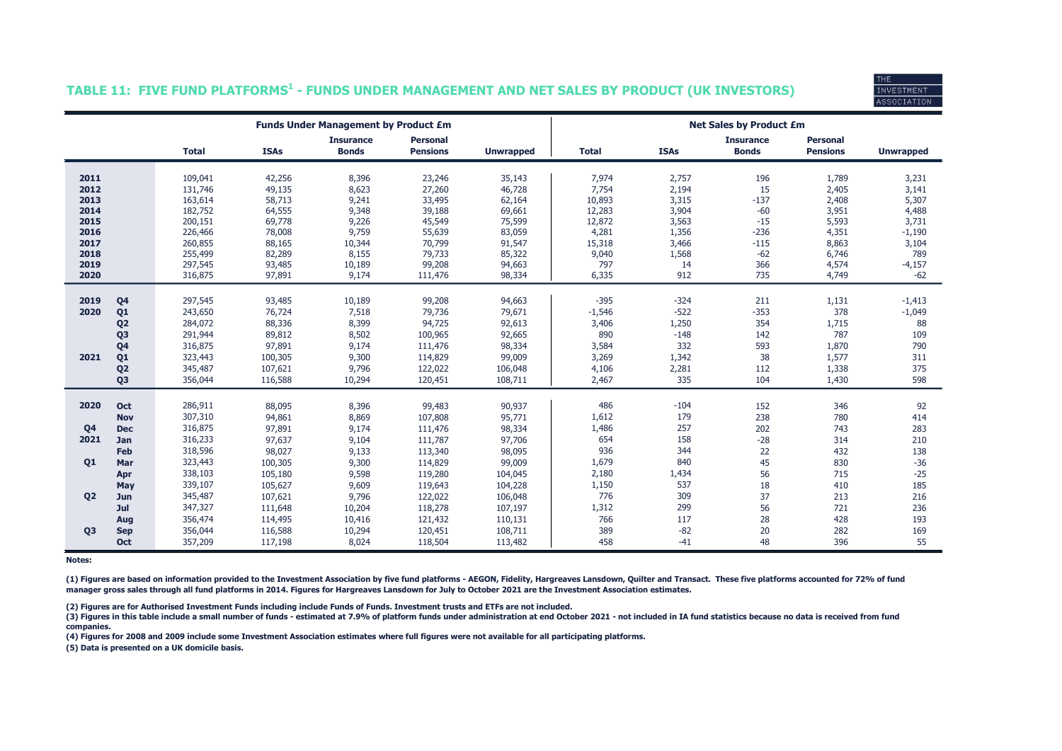| INVESTMENT  |  |
|-------------|--|
| ASSOCIATION |  |

## TABLE 11: FIVE FUND PLATFORMS $^{\rm 1}$  - FUNDS UNDER MANAGEMENT AND NET SALES BY PRODUCT (UK INVESTORS)

|                |                |                    |                  | <b>Funds Under Management by Product £m</b> |                                    |                  | <b>Net Sales by Product £m</b> |                |                                  |                                    |                  |  |  |  |
|----------------|----------------|--------------------|------------------|---------------------------------------------|------------------------------------|------------------|--------------------------------|----------------|----------------------------------|------------------------------------|------------------|--|--|--|
|                |                | <b>Total</b>       | <b>ISAs</b>      | <b>Insurance</b><br><b>Bonds</b>            | <b>Personal</b><br><b>Pensions</b> | <b>Unwrapped</b> | <b>Total</b>                   | <b>ISAs</b>    | <b>Insurance</b><br><b>Bonds</b> | <b>Personal</b><br><b>Pensions</b> | <b>Unwrapped</b> |  |  |  |
| 2011           |                |                    |                  |                                             |                                    |                  |                                |                | 196                              |                                    |                  |  |  |  |
| 2012           |                | 109,041<br>131,746 | 42,256<br>49,135 | 8,396<br>8,623                              | 23,246<br>27,260                   | 35,143<br>46,728 | 7,974<br>7,754                 | 2,757<br>2,194 | 15                               | 1,789<br>2,405                     | 3,231<br>3,141   |  |  |  |
| 2013           |                | 163,614            | 58,713           | 9,241                                       | 33,495                             | 62,164           | 10,893                         | 3,315          | $-137$                           | 2,408                              | 5,307            |  |  |  |
| 2014           |                | 182,752            | 64,555           | 9,348                                       | 39,188                             | 69,661           | 12,283                         | 3,904          | $-60$                            | 3,951                              | 4,488            |  |  |  |
| 2015           |                | 200,151            | 69,778           | 9,226                                       | 45,549                             | 75,599           | 12,872                         | 3,563          | $-15$                            | 5,593                              | 3,731            |  |  |  |
| 2016           |                | 226,466            | 78,008           | 9,759                                       | 55,639                             | 83,059           | 4,281                          | 1,356          | $-236$                           | 4,351                              | $-1,190$         |  |  |  |
| 2017           |                | 260,855            | 88,165           | 10,344                                      | 70,799                             | 91,547           | 15,318                         | 3,466          | $-115$                           | 8,863                              | 3,104            |  |  |  |
| 2018           |                | 255,499            | 82,289           | 8,155                                       | 79,733                             | 85,322           | 9,040                          | 1,568          | $-62$                            | 6,746                              | 789              |  |  |  |
| 2019           |                | 297,545            | 93,485           | 10,189                                      | 99,208                             | 94,663           | 797                            | 14             | 366                              | 4,574                              | $-4,157$         |  |  |  |
| 2020           |                | 316,875            | 97,891           | 9,174                                       | 111,476                            | 98,334           | 6,335                          | 912            | 735                              | 4,749                              | $-62$            |  |  |  |
|                |                |                    |                  |                                             |                                    |                  |                                |                |                                  |                                    |                  |  |  |  |
| 2019           | Q <sub>4</sub> | 297,545            | 93,485           | 10,189                                      | 99,208                             | 94,663           | $-395$                         | $-324$         | 211                              | 1,131                              | $-1,413$         |  |  |  |
| 2020           | Q <sub>1</sub> | 243,650            | 76,724           | 7,518                                       | 79,736                             | 79,671           | $-1,546$                       | $-522$         | $-353$                           | 378                                | $-1,049$         |  |  |  |
|                | Q <sub>2</sub> | 284,072            | 88,336           | 8,399                                       | 94,725                             | 92,613           | 3,406                          | 1,250          | 354                              | 1,715                              | 88               |  |  |  |
|                | Q <sub>3</sub> | 291,944            | 89,812           | 8,502                                       | 100,965                            | 92,665           | 890                            | $-148$         | 142                              | 787                                | 109              |  |  |  |
|                | Q <sub>4</sub> | 316,875            | 97,891           | 9,174                                       | 111,476                            | 98,334           | 3,584                          | 332            | 593                              | 1,870                              | 790              |  |  |  |
| 2021           | Q <sub>1</sub> | 323,443            | 100,305          | 9,300                                       | 114,829                            | 99,009           | 3,269                          | 1,342          | 38                               | 1,577                              | 311              |  |  |  |
|                | Q <sub>2</sub> | 345,487            | 107,621          | 9,796                                       | 122,022                            | 106,048          | 4,106                          | 2,281          | 112                              | 1,338                              | 375              |  |  |  |
|                | Q <sub>3</sub> | 356,044            | 116,588          | 10,294                                      | 120,451                            | 108,711          | 2,467                          | 335            | 104                              | 1,430                              | 598              |  |  |  |
|                |                |                    |                  |                                             |                                    |                  |                                |                |                                  |                                    |                  |  |  |  |
| 2020           | <b>Oct</b>     | 286,911            | 88,095           | 8,396                                       | 99,483                             | 90,937           | 486                            | $-104$         | 152                              | 346                                | 92               |  |  |  |
|                | <b>Nov</b>     | 307,310            | 94,861           | 8,869                                       | 107,808                            | 95,771           | 1,612                          | 179            | 238                              | 780                                | 414              |  |  |  |
| Q <sub>4</sub> | <b>Dec</b>     | 316,875            | 97,891           | 9,174                                       | 111,476                            | 98,334           | 1,486                          | 257            | 202                              | 743                                | 283              |  |  |  |
| 2021           | Jan            | 316,233            | 97,637           | 9,104                                       | 111,787                            | 97,706           | 654                            | 158            | $-28$                            | 314                                | 210              |  |  |  |
|                | Feb            | 318,596            | 98,027           | 9,133                                       | 113,340                            | 98,095           | 936                            | 344            | 22                               | 432                                | 138              |  |  |  |
| Q <sub>1</sub> | Mar            | 323,443            | 100,305          | 9,300                                       | 114,829                            | 99,009           | 1,679                          | 840            | 45                               | 830                                | $-36$            |  |  |  |
|                | Apr            | 338,103            | 105,180          | 9,598                                       | 119,280                            | 104,045          | 2,180                          | 1,434          | 56                               | 715                                | $-25$            |  |  |  |
|                | May            | 339,107            | 105,627          | 9,609                                       | 119,643                            | 104,228          | 1,150                          | 537            | 18                               | 410                                | 185              |  |  |  |
| Q <sub>2</sub> | Jun            | 345,487            | 107,621          | 9,796                                       | 122,022                            | 106,048          | 776                            | 309            | 37                               | 213                                | 216              |  |  |  |
|                | Jul            | 347,327            | 111,648          | 10,204                                      | 118,278                            | 107,197          | 1,312                          | 299            | 56                               | 721                                | 236              |  |  |  |
|                | Aug            | 356,474            | 114,495          | 10,416                                      | 121,432                            | 110,131          | 766                            | 117            | 28                               | 428                                | 193              |  |  |  |
| Q <sub>3</sub> | <b>Sep</b>     | 356,044            | 116,588          | 10,294                                      | 120,451                            | 108,711          | 389                            | $-82$          | 20                               | 282                                | 169              |  |  |  |
|                | <b>Oct</b>     | 357,209            | 117,198          | 8,024                                       | 118,504                            | 113,482          | 458                            | $-41$          | 48                               | 396                                | 55               |  |  |  |

Notes:

(1) Figures are based on information provided to the Investment Association by five fund platforms - AEGON, Fidelity, Hargreaves Lansdown, Quilter and Transact. These five platforms accounted for 72% of fund manager gross sales through all fund platforms in 2014. Figures for Hargreaves Lansdown for July to October 2021 are the Investment Association estimates.

(2) Figures are for Authorised Investment Funds including include Funds of Funds. Investment trusts and ETFs are not included.

(3) Figures in this table include a small number of funds - estimated at 7.9% of platform funds under administration at end October 2021 - not included in IA fund statistics because no data is received from fund companies.

(4) Figures for 2008 and 2009 include some Investment Association estimates where full figures were not available for all participating platforms.

(5) Data is presented on a UK domicile basis.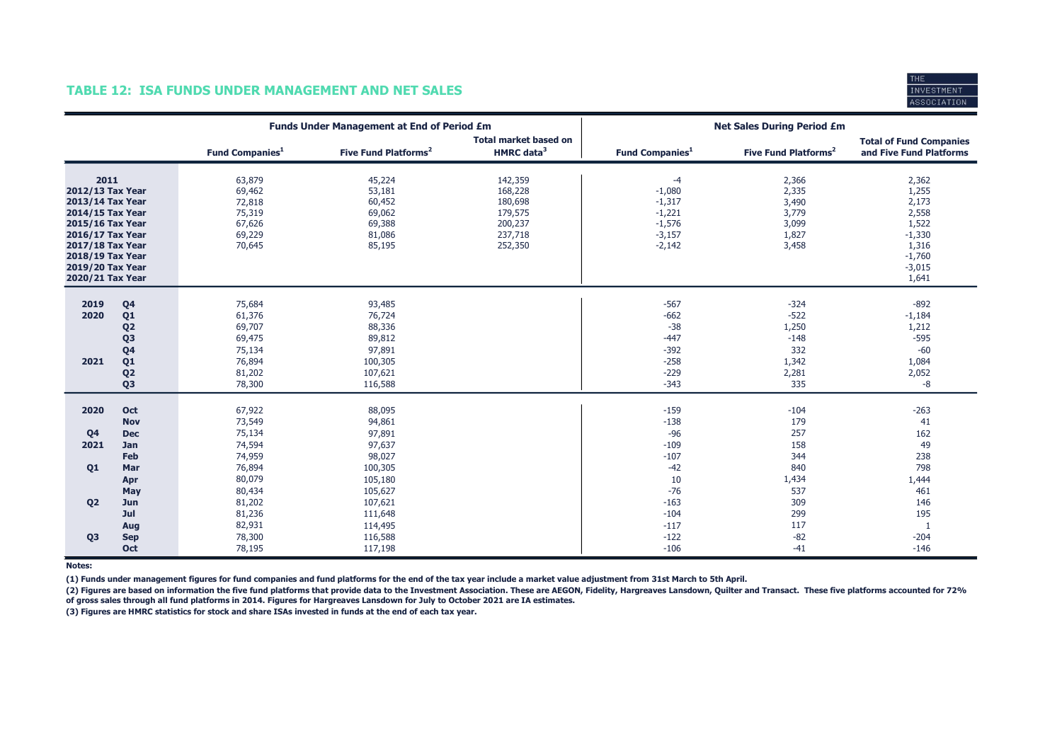## TABLE 12: ISA FUNDS UNDER MANAGEMENT AND NET SALES



|                                                                                                                                                                                          |                                                                                                                                  |                                                                                                  | <b>Funds Under Management at End of Period £m</b>                                                     |                                                                           | <b>Net Sales During Period £m</b>                                                         |                                                                         |                                                                                                 |  |
|------------------------------------------------------------------------------------------------------------------------------------------------------------------------------------------|----------------------------------------------------------------------------------------------------------------------------------|--------------------------------------------------------------------------------------------------|-------------------------------------------------------------------------------------------------------|---------------------------------------------------------------------------|-------------------------------------------------------------------------------------------|-------------------------------------------------------------------------|-------------------------------------------------------------------------------------------------|--|
|                                                                                                                                                                                          |                                                                                                                                  | <b>Fund Companies</b> <sup>1</sup>                                                               | Five Fund Platforms <sup>2</sup>                                                                      | <b>Total market based on</b><br>HMRC data <sup>3</sup>                    | <b>Fund Companies</b> <sup>1</sup>                                                        | Five Fund Platforms <sup>2</sup>                                        | <b>Total of Fund Companies</b><br>and Five Fund Platforms                                       |  |
| 2011<br>2012/13 Tax Year<br>2013/14 Tax Year<br>2014/15 Tax Year<br>2015/16 Tax Year<br>2016/17 Tax Year<br>2017/18 Tax Year<br>2018/19 Tax Year<br>2019/20 Tax Year<br>2020/21 Tax Year |                                                                                                                                  | 63,879<br>69,462<br>72,818<br>75,319<br>67,626<br>69,229<br>70,645                               | 45,224<br>53,181<br>60,452<br>69,062<br>69,388<br>81,086<br>85,195                                    | 142,359<br>168,228<br>180,698<br>179,575<br>200,237<br>237,718<br>252,350 | $-4$<br>$-1,080$<br>$-1,317$<br>$-1,221$<br>$-1,576$<br>$-3,157$<br>$-2,142$              | 2,366<br>2,335<br>3,490<br>3,779<br>3,099<br>1,827<br>3,458             | 2,362<br>1,255<br>2,173<br>2,558<br>1,522<br>$-1,330$<br>1,316<br>$-1,760$<br>$-3,015$<br>1,641 |  |
| 2019<br>2020<br>2021                                                                                                                                                                     | Q <sub>4</sub><br>Q <sub>1</sub><br>Q <sub>2</sub><br>Q <sub>3</sub><br>Q <sub>4</sub><br>Q1<br>Q <sub>2</sub><br>Q <sub>3</sub> | 75,684<br>61,376<br>69,707<br>69,475<br>75,134<br>76,894<br>81,202<br>78,300                     | 93,485<br>76,724<br>88,336<br>89,812<br>97,891<br>100,305<br>107,621<br>116,588                       |                                                                           | $-567$<br>$-662$<br>$-38$<br>$-447$<br>$-392$<br>$-258$<br>$-229$<br>$-343$               | $-324$<br>$-522$<br>1,250<br>$-148$<br>332<br>1,342<br>2,281<br>335     | $-892$<br>$-1,184$<br>1,212<br>$-595$<br>$-60$<br>1,084<br>2,052<br>-8                          |  |
| 2020<br>Q <sub>4</sub><br>2021<br>Q <sub>1</sub><br>Q <sub>2</sub>                                                                                                                       | Oct<br><b>Nov</b><br><b>Dec</b><br>Jan<br>Feb<br>Mar<br>Apr<br>May<br>Jun<br>Jul                                                 | 67,922<br>73,549<br>75,134<br>74,594<br>74,959<br>76,894<br>80,079<br>80,434<br>81,202<br>81,236 | 88,095<br>94,861<br>97,891<br>97,637<br>98,027<br>100,305<br>105,180<br>105,627<br>107,621<br>111,648 |                                                                           | $-159$<br>$-138$<br>$-96$<br>$-109$<br>$-107$<br>$-42$<br>10<br>$-76$<br>$-163$<br>$-104$ | $-104$<br>179<br>257<br>158<br>344<br>840<br>1,434<br>537<br>309<br>299 | $-263$<br>41<br>162<br>49<br>238<br>798<br>1,444<br>461<br>146<br>195                           |  |
| Q <sub>3</sub>                                                                                                                                                                           | Aug<br><b>Sep</b><br>Oct                                                                                                         | 82,931<br>78,300<br>78,195                                                                       | 114,495<br>116,588<br>117,198                                                                         |                                                                           | $-117$<br>$-122$<br>$-106$                                                                | 117<br>$-82$<br>$-41$                                                   | $\mathbf{1}$<br>$-204$<br>$-146$                                                                |  |

Notes:

(1) Funds under management figures for fund companies and fund platforms for the end of the tax year include a market value adjustment from 31st March to 5th April.

(2) Figures are based on information the five fund platforms that provide data to the Investment Association. These are AEGON, Fidelity, Hargreaves Lansdown, Quilter and Transact. These five platforms accounted for 72% of gross sales through all fund platforms in 2014. Figures for Hargreaves Lansdown for July to October 2021 are IA estimates.

(3) Figures are HMRC statistics for stock and share ISAs invested in funds at the end of each tax year.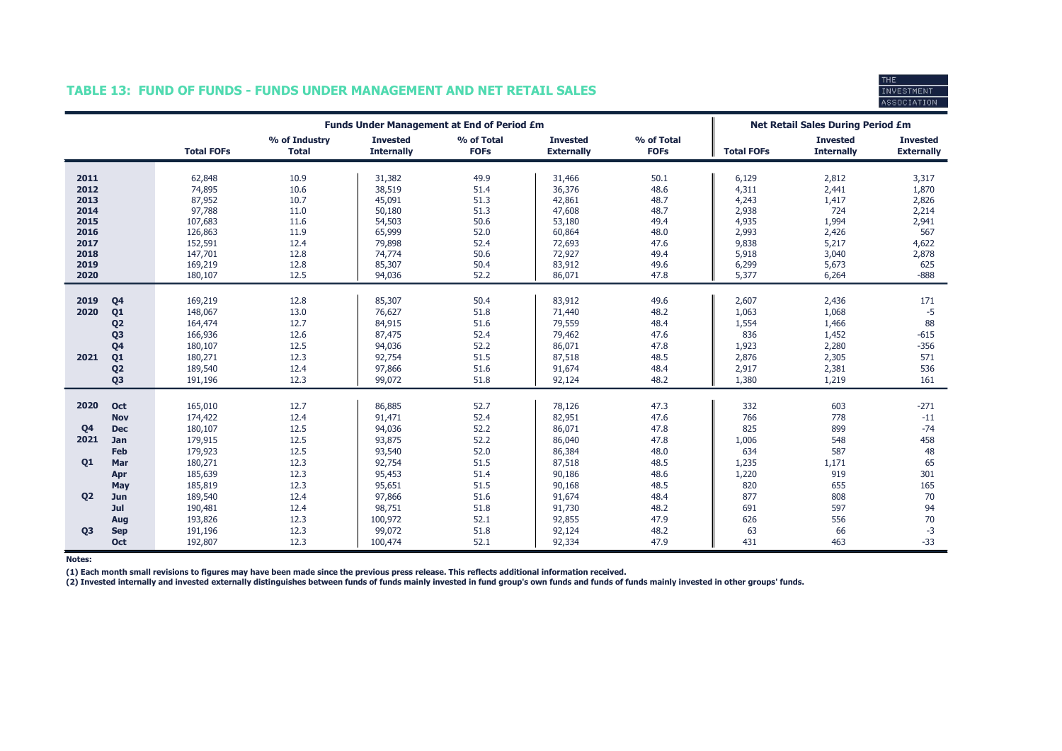## TABLE 13: FUND OF FUNDS - FUNDS UNDER MANAGEMENT AND NET RETAIL SALES



|                |                | <b>Funds Under Management at End of Period £m</b> |                               |                                      |                           |                                      |                           | <b>Net Retail Sales During Period £m</b> |                                      |                                      |
|----------------|----------------|---------------------------------------------------|-------------------------------|--------------------------------------|---------------------------|--------------------------------------|---------------------------|------------------------------------------|--------------------------------------|--------------------------------------|
|                |                | <b>Total FOFs</b>                                 | % of Industry<br><b>Total</b> | <b>Invested</b><br><b>Internally</b> | % of Total<br><b>FOFs</b> | <b>Invested</b><br><b>Externally</b> | % of Total<br><b>FOFs</b> | <b>Total FOFs</b>                        | <b>Invested</b><br><b>Internally</b> | <b>Invested</b><br><b>Externally</b> |
| 2011           |                |                                                   | 10.9                          |                                      | 49.9                      |                                      |                           |                                          |                                      |                                      |
| 2012           |                | 62,848<br>74,895                                  | 10.6                          | 31,382<br>38,519                     | 51.4                      | 31,466<br>36,376                     | 50.1<br>48.6              | 6,129<br>4,311                           | 2,812<br>2,441                       | 3,317<br>1,870                       |
| 2013           |                | 87,952                                            | 10.7                          | 45,091                               | 51.3                      | 42,861                               | 48.7                      | 4,243                                    | 1,417                                | 2,826                                |
| 2014           |                | 97,788                                            | 11.0                          | 50,180                               | 51.3                      | 47,608                               | 48.7                      | 2,938                                    | 724                                  | 2,214                                |
| 2015           |                | 107,683                                           | 11.6                          | 54,503                               | 50.6                      | 53,180                               | 49.4                      | 4,935                                    | 1,994                                | 2,941                                |
| 2016           |                | 126,863                                           | 11.9                          | 65,999                               | 52.0                      | 60,864                               | 48.0                      | 2,993                                    | 2,426                                | 567                                  |
| 2017           |                | 152,591                                           | 12.4                          | 79,898                               | 52.4                      | 72,693                               | 47.6                      | 9,838                                    | 5,217                                | 4,622                                |
| 2018           |                | 147,701                                           | 12.8                          | 74,774                               | 50.6                      | 72,927                               | 49.4                      | 5,918                                    | 3,040                                | 2,878                                |
| 2019           |                | 169,219                                           | 12.8                          | 85,307                               | 50.4                      | 83,912                               | 49.6                      | 6,299                                    | 5,673                                | 625                                  |
| 2020           |                | 180,107                                           | 12.5                          | 94,036                               | 52.2                      | 86,071                               | 47.8                      | 5,377                                    | 6,264                                | $-888$                               |
|                |                |                                                   |                               |                                      |                           |                                      |                           |                                          |                                      |                                      |
| 2019           | Q <sub>4</sub> | 169,219                                           | 12.8                          | 85,307                               | 50.4                      | 83,912                               | 49.6                      | 2,607                                    | 2,436                                | 171                                  |
| 2020           | Q <sub>1</sub> | 148,067                                           | 13.0                          | 76,627                               | 51.8                      | 71,440                               | 48.2                      | 1,063                                    | 1,068                                | $-5$                                 |
|                | Q <sub>2</sub> | 164,474                                           | 12.7                          | 84,915                               | 51.6                      | 79,559                               | 48.4                      | 1,554                                    | 1,466                                | 88                                   |
|                | Q <sub>3</sub> | 166,936                                           | 12.6                          | 87,475                               | 52.4                      | 79,462                               | 47.6                      | 836                                      | 1,452                                | $-615$                               |
|                | Q <sub>4</sub> | 180,107                                           | 12.5                          | 94,036                               | 52.2                      | 86,071                               | 47.8                      | 1,923                                    | 2,280                                | $-356$                               |
| 2021           | Q <sub>1</sub> | 180,271                                           | 12.3                          | 92,754                               | 51.5                      | 87,518                               | 48.5                      | 2,876                                    | 2,305                                | 571                                  |
|                | Q <sub>2</sub> | 189,540                                           | 12.4                          | 97,866                               | 51.6                      | 91,674                               | 48.4                      | 2,917                                    | 2,381                                | 536                                  |
|                | Q <sub>3</sub> | 191,196                                           | 12.3                          | 99,072                               | 51.8                      | 92,124                               | 48.2                      | 1,380                                    | 1,219                                | 161                                  |
|                |                |                                                   |                               |                                      |                           |                                      |                           |                                          |                                      |                                      |
| 2020           | Oct            | 165,010                                           | 12.7                          | 86,885                               | 52.7                      | 78,126                               | 47.3                      | 332                                      | 603                                  | $-271$                               |
|                | <b>Nov</b>     | 174,422                                           | 12.4                          | 91,471                               | 52.4                      | 82,951                               | 47.6                      | 766                                      | 778                                  | $-11$                                |
| Q <sub>4</sub> | <b>Dec</b>     | 180,107                                           | 12.5                          | 94,036                               | 52.2                      | 86,071                               | 47.8                      | 825                                      | 899                                  | $-74$                                |
| 2021           | Jan            | 179,915                                           | 12.5                          | 93,875                               | 52.2                      | 86,040                               | 47.8                      | 1,006                                    | 548                                  | 458                                  |
|                | Feb            | 179,923                                           | 12.5                          | 93,540                               | 52.0                      | 86,384                               | 48.0                      | 634                                      | 587                                  | 48                                   |
| 01             | Mar            | 180,271                                           | 12.3                          | 92,754                               | 51.5                      | 87,518                               | 48.5                      | 1,235                                    | 1,171                                | 65                                   |
|                | Apr            | 185,639                                           | 12.3                          | 95,453                               | 51.4                      | 90,186                               | 48.6                      | 1,220                                    | 919                                  | 301                                  |
|                | May            | 185,819                                           | 12.3                          | 95,651                               | 51.5                      | 90,168                               | 48.5                      | 820                                      | 655                                  | 165                                  |
| <b>Q2</b>      | Jun            | 189,540                                           | 12.4                          | 97,866                               | 51.6                      | 91,674                               | 48.4                      | 877                                      | 808                                  | 70                                   |
|                | Jul            | 190,481                                           | 12.4                          | 98,751                               | 51.8                      | 91,730                               | 48.2                      | 691                                      | 597                                  | 94                                   |
|                | Aug            | 193,826                                           | 12.3                          | 100,972                              | 52.1                      | 92,855                               | 47.9                      | 626                                      | 556                                  | 70                                   |
| Q <sub>3</sub> | <b>Sep</b>     | 191,196                                           | 12.3                          | 99,072                               | 51.8                      | 92,124                               | 48.2                      | 63                                       | 66                                   | $-3$                                 |
|                | Oct            | 192,807                                           | 12.3                          | 100,474                              | 52.1                      | 92,334                               | 47.9                      | 431                                      | 463                                  | $-33$                                |

Notes:

(1) Each month small revisions to figures may have been made since the previous press release. This reflects additional information received.<br>(2) Invested internally and invested externally distinguishes between funds of f